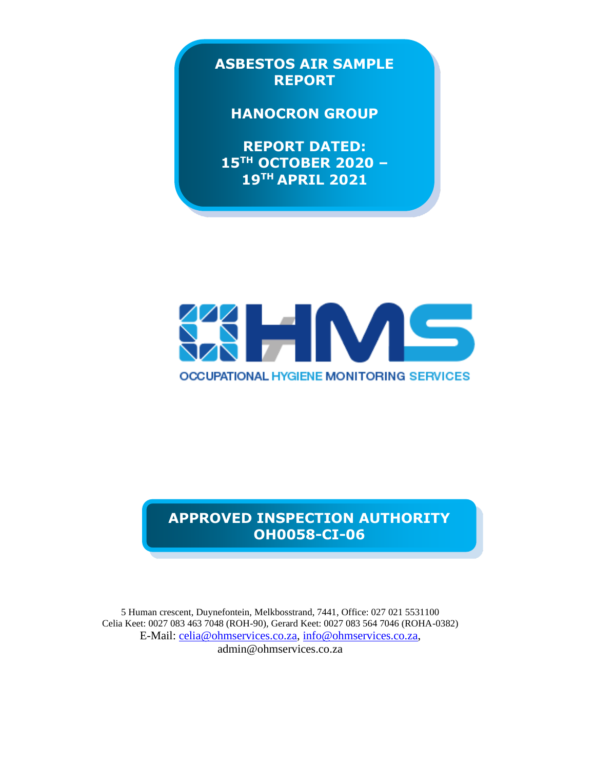**ASBESTOS AIR SAMPLE REPORT**

## **HANOCRON GROUP**

**REPORT DATED: 15TH OCTOBER 2020 – 19TH APRIL 2021** 



# **APPROVED INSPECTION AUTHORITY OH0058-CI-06**

5 Human crescent, Duynefontein, Melkbosstrand, 7441, Office: 027 021 5531100 Celia Keet: 0027 083 463 7048 (ROH-90), Gerard Keet: 0027 083 564 7046 (ROHA-0382) E-Mail: [celia@ohmservices.co.za,](mailto:celia@ohmservices.co.za) [info@ohmservices.co.za,](mailto:info@ohmservices.co.za) admin@ohmservices.co.za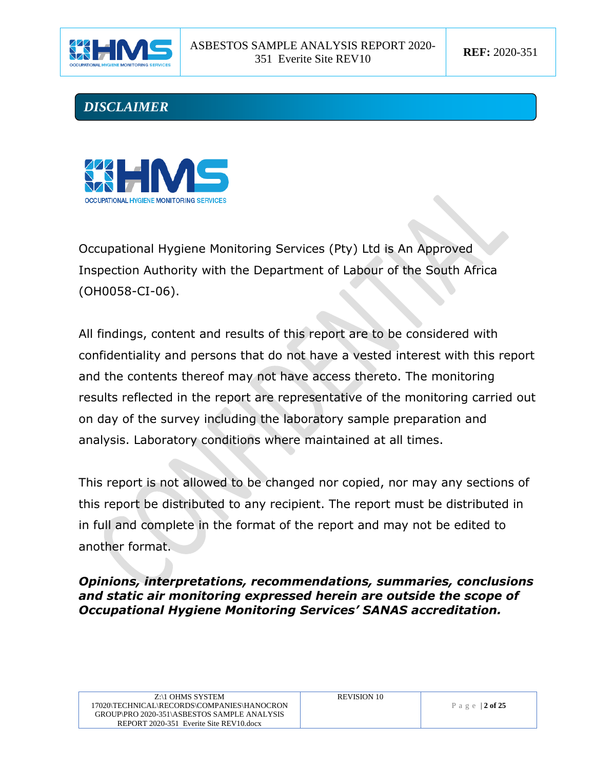





Occupational Hygiene Monitoring Services (Pty) Ltd is An Approved Inspection Authority with the Department of Labour of the South Africa (OH0058-CI-06).

All findings, content and results of this report are to be considered with confidentiality and persons that do not have a vested interest with this report and the contents thereof may not have access thereto. The monitoring results reflected in the report are representative of the monitoring carried out on day of the survey including the laboratory sample preparation and analysis. Laboratory conditions where maintained at all times.

This report is not allowed to be changed nor copied, nor may any sections of this report be distributed to any recipient. The report must be distributed in in full and complete in the format of the report and may not be edited to another format.

#### *Opinions, interpretations, recommendations, summaries, conclusions and static air monitoring expressed herein are outside the scope of Occupational Hygiene Monitoring Services' SANAS accreditation.*

| Z:\1 OHMS SYSTEM                            |
|---------------------------------------------|
| 17020\TECHNICAL\RECORDS\COMPANIES\HANOCRON  |
| GROUP\PRO 2020-351\ASBESTOS SAMPLE ANALYSIS |
| REPORT 2020-351 Everite Site REV10 docx     |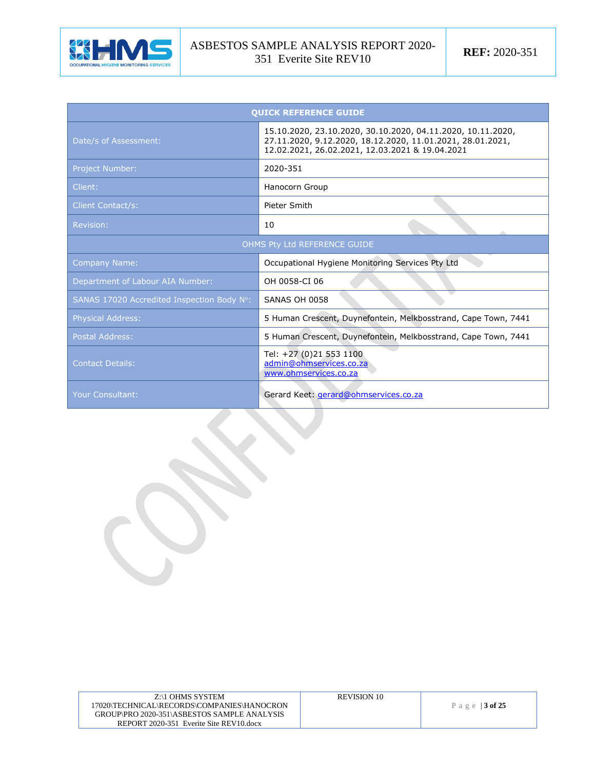

| <b>QUICK REFERENCE GUIDE</b>               |                                                                                                                                                                              |  |  |  |  |
|--------------------------------------------|------------------------------------------------------------------------------------------------------------------------------------------------------------------------------|--|--|--|--|
| Date/s of Assessment:                      | 15.10.2020, 23.10.2020, 30.10.2020, 04.11.2020, 10.11.2020,<br>27.11.2020, 9.12.2020, 18.12.2020, 11.01.2021, 28.01.2021,<br>12.02.2021, 26.02.2021, 12.03.2021 & 19.04.2021 |  |  |  |  |
| <b>Project Number:</b>                     | 2020-351                                                                                                                                                                     |  |  |  |  |
| Client:                                    | Hanocorn Group                                                                                                                                                               |  |  |  |  |
| <b>Client Contact/s:</b>                   | Pieter Smith                                                                                                                                                                 |  |  |  |  |
| Revision:                                  | 10                                                                                                                                                                           |  |  |  |  |
| OHMS Pty Ltd REFERENCE GUIDE               |                                                                                                                                                                              |  |  |  |  |
| <b>Company Name:</b>                       | Occupational Hygiene Monitoring Services Pty Ltd                                                                                                                             |  |  |  |  |
| Department of Labour AIA Number:           | OH 0058-CI 06                                                                                                                                                                |  |  |  |  |
| SANAS 17020 Accredited Inspection Body N°: | SANAS OH 0058                                                                                                                                                                |  |  |  |  |
| <b>Physical Address:</b>                   | 5 Human Crescent, Duynefontein, Melkbosstrand, Cape Town, 7441                                                                                                               |  |  |  |  |
| <b>Postal Address:</b>                     | 5 Human Crescent, Duynefontein, Melkbosstrand, Cape Town, 7441                                                                                                               |  |  |  |  |
| <b>Contact Details:</b>                    | Tel: +27 (0)21 553 1100<br>admin@ohmservices.co.za<br>www.ohmservices.co.za                                                                                                  |  |  |  |  |
| <b>Your Consultant:</b>                    | Gerard Keet: <i>gerard@ohmservices.co.za</i>                                                                                                                                 |  |  |  |  |

| Z:\1 OHMS SYSTEM                            | <b>REVISION 10</b> |                  |
|---------------------------------------------|--------------------|------------------|
| 17020\TECHNICAL\RECORDS\COMPANIES\HANOCRON_ |                    | Page   $3$ of 25 |
| GROUP\PRO 2020-351\ASBESTOS SAMPLE ANALYSIS |                    |                  |
| REPORT 2020-351 Everite Site REV10.docx     |                    |                  |
|                                             |                    |                  |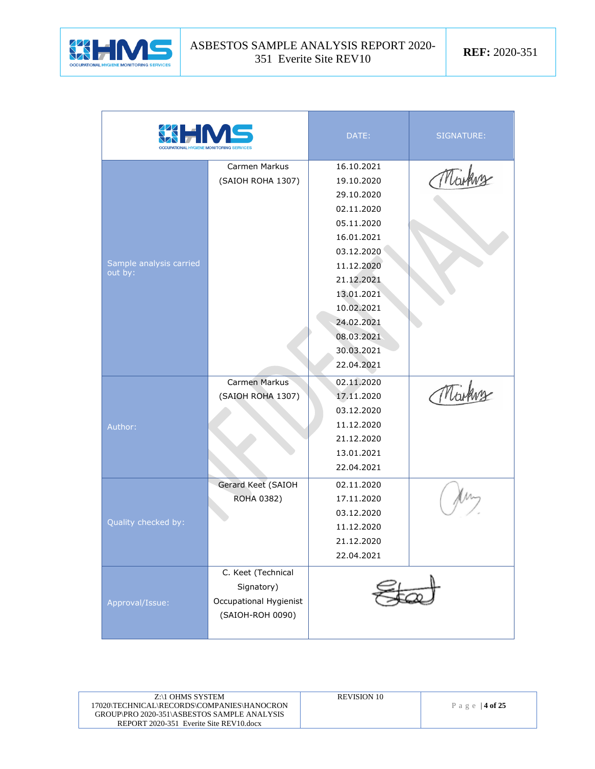

| <b>KIHM</b>             |                        | DATE:      | SIGNATURE: |
|-------------------------|------------------------|------------|------------|
|                         | Carmen Markus          | 16.10.2021 |            |
|                         | (SAIOH ROHA 1307)      | 19.10.2020 | Marking    |
|                         |                        | 29.10.2020 |            |
|                         |                        | 02.11.2020 |            |
|                         |                        | 05.11.2020 |            |
|                         |                        | 16.01.2021 |            |
|                         |                        | 03.12.2020 |            |
| Sample analysis carried |                        | 11.12.2020 |            |
| out by:                 |                        | 21.12.2021 |            |
|                         |                        | 13.01.2021 |            |
|                         |                        | 10.02.2021 |            |
|                         |                        | 24.02.2021 |            |
|                         |                        | 08.03.2021 |            |
|                         |                        | 30.03.2021 |            |
|                         |                        | 22.04.2021 |            |
|                         | Carmen Markus          | 02.11.2020 |            |
|                         | (SAIOH ROHA 1307)      | 17.11.2020 | Marking    |
|                         |                        | 03.12.2020 |            |
| Author:                 |                        | 11.12.2020 |            |
|                         |                        | 21.12.2020 |            |
|                         |                        | 13.01.2021 |            |
|                         |                        | 22.04.2021 |            |
|                         | Gerard Keet (SAIOH     | 02.11.2020 |            |
|                         | ROHA 0382)             | 17.11.2020 |            |
|                         |                        | 03.12.2020 |            |
| Quality checked by:     |                        | 11.12.2020 |            |
|                         |                        | 21.12.2020 |            |
|                         |                        | 22.04.2021 |            |
|                         | C. Keet (Technical     |            |            |
|                         | Signatory)             |            |            |
| Approval/Issue:         | Occupational Hygienist |            |            |
|                         | (SAIOH-ROH 0090)       |            |            |
|                         |                        |            |            |

| Z:\1 OHMS SYSTEM                            | REVISION 10 |                  |
|---------------------------------------------|-------------|------------------|
| 17020\TECHNICAL\RECORDS\COMPANIES\HANOCRON  |             | Page   $4$ of 25 |
| GROUP\PRO 2020-351\ASBESTOS SAMPLE ANALYSIS |             |                  |
| REPORT 2020-351 Everite Site REV10.docx     |             |                  |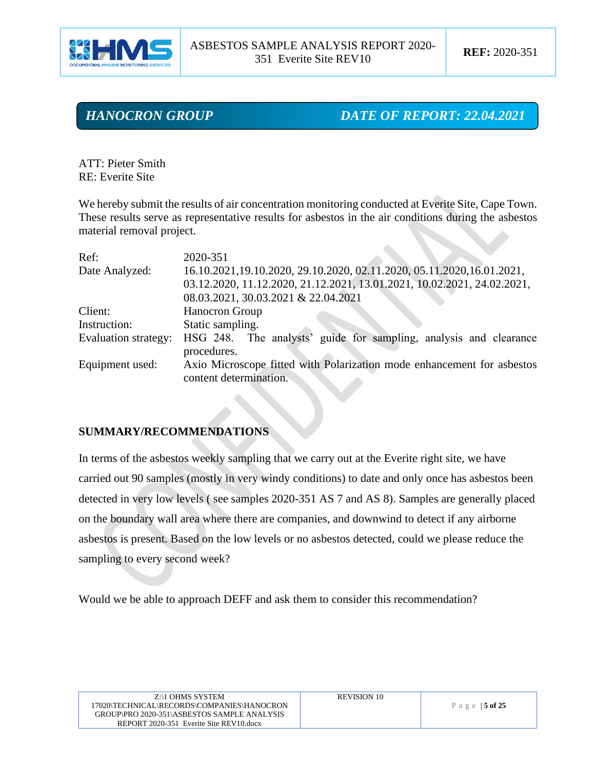

*HANOCRON GROUP DATE OF REPORT: 22.04.2021*

ATT: Pieter Smith RE: Everite Site

We hereby submit the results of air concentration monitoring conducted at Everite Site, Cape Town. These results serve as representative results for asbestos in the air conditions during the asbestos material removal project.

| Ref:                 | 2020-351                                                                                         |
|----------------------|--------------------------------------------------------------------------------------------------|
| Date Analyzed:       | 16.10.2021,19.10.2020, 29.10.2020, 02.11.2020, 05.11.2020, 16.01.2021,                           |
|                      | 03.12.2020, 11.12.2020, 21.12.2021, 13.01.2021, 10.02.2021, 24.02.2021,                          |
|                      | 08.03.2021, 30.03.2021 & 22.04.2021                                                              |
| Client:              | Hanocron Group                                                                                   |
| Instruction:         | Static sampling.                                                                                 |
| Evaluation strategy: | HSG 248. The analysts' guide for sampling, analysis and clearance<br>procedures.                 |
| Equipment used:      | Axio Microscope fitted with Polarization mode enhancement for asbestos<br>content determination. |

#### **SUMMARY/RECOMMENDATIONS**

In terms of the asbestos weekly sampling that we carry out at the Everite right site, we have carried out 90 samples (mostly in very windy conditions) to date and only once has asbestos been detected in very low levels ( see samples 2020-351 AS 7 and AS 8). Samples are generally placed on the boundary wall area where there are companies, and downwind to detect if any airborne asbestos is present. Based on the low levels or no asbestos detected, could we please reduce the sampling to every second week?

Would we be able to approach DEFF and ask them to consider this recommendation?

| Z:\1 OHMS SYSTEM                            |
|---------------------------------------------|
| 17020\TECHNICAL\RECORDS\COMPANIES\HANOCRON  |
| GROUP\PRO 2020-351\ASBESTOS SAMPLE ANALYSIS |
| REPORT 2020-351 Everite Site REV10.docx     |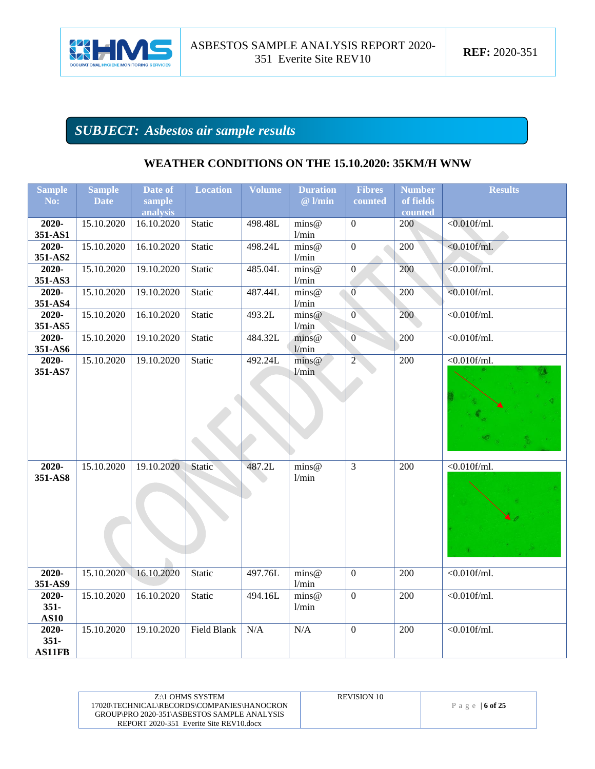

# *SUBJECT: Asbestos air sample results*

| <b>Sample</b> | <b>Sample</b> | Date of    | <b>Location</b> | <b>Volume</b> | <b>Duration</b>                         | <b>Fibres</b>    | <b>Number</b> | <b>Results</b>      |
|---------------|---------------|------------|-----------------|---------------|-----------------------------------------|------------------|---------------|---------------------|
| No:           | <b>Date</b>   | sample     |                 |               | $@$ l/min                               | counted          | of fields     |                     |
|               |               | analysis   |                 |               |                                         |                  | counted       |                     |
| 2020-         | 15.10.2020    | 16.10.2020 | Static          | 498.48L       | $\overline{\text{mins}\textcircled{e}}$ | $\overline{0}$   | 200           | $< 0.010$ f/ml.     |
| 351-AS1       |               |            |                 |               | 1/min                                   |                  |               |                     |
| 2020-         | 15.10.2020    | 16.10.2020 | Static          | 498.24L       | $\text{mins}\omega$                     | $\overline{0}$   | 200           | $< 0.010$ f/ml.     |
| 351-AS2       |               |            |                 |               | 1/min                                   |                  |               |                     |
| 2020-         | 15.10.2020    | 19.10.2020 | Static          | 485.04L       | $\text{mins} @$                         | $\overline{0}$   | 200           | $< 0.010$ f/ml.     |
| 351-AS3       |               |            |                 |               | 1/min                                   |                  |               |                     |
| 2020-         | 15.10.2020    | 19.10.2020 | Static          | 487.44L       | $\text{mins} @$                         | $\overline{0}$   | 200           | $< 0.010$ f/ml.     |
| 351-AS4       |               |            |                 |               | 1/min                                   |                  |               |                     |
| 2020-         | 15.10.2020    | 16.10.2020 | Static          | 493.2L        | $\text{mins} @$                         | $\overline{0}$   | 200           | $\sqrt{0.010$ f/ml. |
| 351-AS5       |               |            |                 |               | 1/min                                   |                  |               |                     |
| 2020-         | 15.10.2020    | 19.10.2020 | Static          | 484.32L       | $\text{mins} @$                         | $\overline{0}$   | 200           | $< 0.010$ f/ml.     |
| 351-AS6       |               |            |                 |               | 1/min                                   |                  |               |                     |
| 2020-         | 15.10.2020    | 19.10.2020 | Static          | 492.24L       | $\text{mins} @$                         | $\overline{2}$   | 200           | $<0.010$ f/ml.      |
| 351-AS7       |               |            |                 |               | 1/min                                   |                  |               |                     |
|               |               |            |                 |               |                                         |                  |               |                     |
|               |               |            |                 |               |                                         |                  |               |                     |
|               |               |            |                 |               |                                         |                  |               |                     |
|               |               |            |                 |               |                                         |                  |               |                     |
|               |               |            |                 |               |                                         |                  |               |                     |
|               |               |            |                 |               |                                         |                  |               |                     |
|               |               |            |                 |               |                                         |                  |               |                     |
| 2020-         | 15.10.2020    | 19.10.2020 | Static          | 487.2L        | $\text{mins} @$                         | $\overline{3}$   | 200           | $<0.010$ f/ml.      |
| 351-AS8       |               |            |                 |               | 1/min                                   |                  |               |                     |
|               |               |            |                 |               |                                         |                  |               |                     |
|               |               |            |                 |               |                                         |                  |               |                     |
|               |               |            |                 |               |                                         |                  |               |                     |
|               |               |            |                 |               |                                         |                  |               |                     |
|               |               |            |                 |               |                                         |                  |               |                     |
|               |               |            |                 |               |                                         |                  |               |                     |
|               |               |            |                 |               |                                         |                  |               |                     |
| 2020-         | 15.10.2020    | 16.10.2020 | Static          | 497.76L       | $\text{mins} @$                         | $\mathbf{0}$     | 200           | $< 0.010$ f/ml.     |
| 351-AS9       |               |            |                 |               | 1/min                                   |                  |               |                     |
| 2020-         | 15.10.2020    | 16.10.2020 | Static          | 494.16L       | $\text{mins} @$                         | $\overline{0}$   | 200           | $\sqrt{0.010$ f/ml. |
| $351 -$       |               |            |                 |               | 1/min                                   |                  |               |                     |
| <b>AS10</b>   |               |            |                 |               |                                         |                  |               |                     |
| 2020-         | 15.10.2020    | 19.10.2020 | Field Blank     | N/A           | N/A                                     | $\boldsymbol{0}$ | 200           | $<0.010$ f/ml.      |
| $351 -$       |               |            |                 |               |                                         |                  |               |                     |
| <b>AS11FB</b> |               |            |                 |               |                                         |                  |               |                     |
|               |               |            |                 |               |                                         |                  |               |                     |

## **WEATHER CONDITIONS ON THE 15.10.2020: 35KM/H WNW**

| Z:\1 OHMS SYSTEM                            | <b>REVISION 10</b> |                  |
|---------------------------------------------|--------------------|------------------|
| 17020\TECHNICAL\RECORDS\COMPANIES\HANOCRON  |                    | Page   $6$ of 25 |
| GROUP\PRO 2020-351\ASBESTOS SAMPLE ANALYSIS |                    |                  |
| REPORT 2020-351 Everite Site REV10 docx     |                    |                  |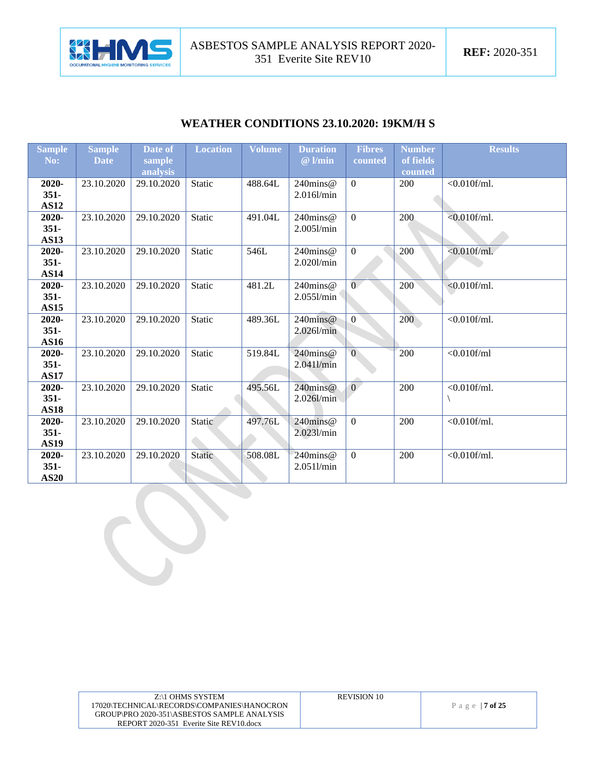

### **WEATHER CONDITIONS 23.10.2020: 19KM/H S**

| <b>Sample</b>          | <b>Sample</b> | Date of            | <b>Location</b> | <b>Volume</b> | <b>Duration</b> | <b>Fibres</b>  | <b>Number</b>        | <b>Results</b>  |
|------------------------|---------------|--------------------|-----------------|---------------|-----------------|----------------|----------------------|-----------------|
| No:                    | <b>Date</b>   | sample<br>analysis |                 |               | $@$ l/min       | counted        | of fields<br>counted |                 |
| 2020-                  | 23.10.2020    | 29.10.2020         | Static          | 488.64L       | $240$ mins@     | $\overline{0}$ | 200                  | $<0.010$ f/ml.  |
| $351 -$                |               |                    |                 |               | $2.016$ l/min   |                |                      |                 |
| <b>AS12</b>            |               |                    |                 |               |                 |                |                      |                 |
| 2020-                  | 23.10.2020    | 29.10.2020         | <b>Static</b>   | 491.04L       | 240mins@        | $\overline{0}$ | 200                  | $< 0.010$ f/ml. |
| $351 -$                |               |                    |                 |               | 2.0051/min      |                |                      |                 |
| <b>AS13</b>            |               |                    |                 |               |                 |                |                      |                 |
| 2020-                  | 23.10.2020    | 29.10.2020         | Static          | 546L          | $240$ mins@     | $\overline{0}$ | 200                  | $< 0.010$ f/ml. |
| $351 -$<br><b>AS14</b> |               |                    |                 |               | 2.020l/min      |                |                      |                 |
| 2020-                  | 23.10.2020    | 29.10.2020         | Static          | 481.2L        | 240mins@        | $\overline{0}$ | 200                  | $< 0.010$ f/ml. |
| $351 -$                |               |                    |                 |               | 2.0551/min      |                |                      |                 |
| <b>AS15</b>            |               |                    |                 |               |                 |                |                      |                 |
| 2020-                  | 23.10.2020    | 29.10.2020         | Static          | 489.36L       | $240$ mins@     | $\overline{0}$ | 200                  | $<0.010$ f/ml.  |
| $351 -$                |               |                    |                 |               | $2.026$ l/min   |                |                      |                 |
| <b>AS16</b>            |               |                    |                 |               |                 |                |                      |                 |
| 2020-                  | 23.10.2020    | 29.10.2020         | <b>Static</b>   | 519.84L       | 240mins@        | $\overline{0}$ | 200                  | $<$ 0.010f/ml   |
| $351 -$                |               |                    |                 |               | 2.0411/min      |                |                      |                 |
| <b>AS17</b>            |               |                    |                 |               |                 |                |                      |                 |
| 2020-                  | 23.10.2020    | 29.10.2020         | Static          | 495.56L       | 240mins@        | $\overline{0}$ | 200                  | $<0.010$ f/ml.  |
| $351 -$<br><b>AS18</b> |               |                    |                 |               | $2.026$ l/min   |                |                      |                 |
| 2020-                  | 23.10.2020    | 29.10.2020         | Static          | 497.76L       | $240$ mins@     | $\overline{0}$ | 200                  | $<0.010$ f/ml.  |
| $351 -$                |               |                    |                 |               | 2.0231/min      |                |                      |                 |
| <b>AS19</b>            |               |                    |                 |               |                 |                |                      |                 |
| 2020-                  | 23.10.2020    | 29.10.2020         | Static          | 508.08L       | 240mins@        | $\overline{0}$ | 200                  | $<0.010$ f/ml.  |
| $351 -$                |               |                    |                 |               | 2.0511/min      |                |                      |                 |
| <b>AS20</b>            |               |                    |                 |               |                 |                |                      |                 |

| Z:\1 OHMS SYSTEM<br>17020\TECHNICAL\RECORDS\COMPANIES\HANOCRON<br>GROUP\PRO 2020-351\ASBESTOS SAMPLE ANALYSIS | <b>REVISION 10</b> | Page   $7$ of 25 |
|---------------------------------------------------------------------------------------------------------------|--------------------|------------------|
| REPORT 2020-351 Everite Site REV10.docx                                                                       |                    |                  |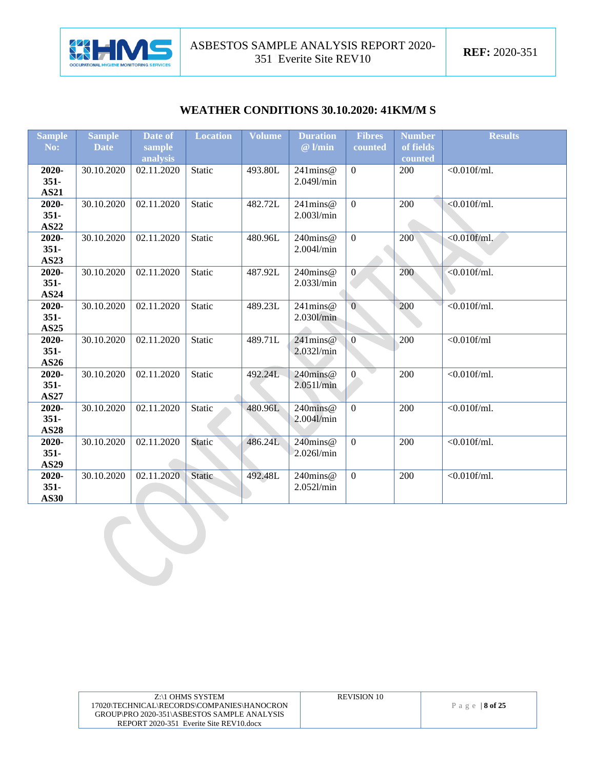

#### **WEATHER CONDITIONS 30.10.2020: 41KM/M S**

| <b>Sample</b>        | <b>Sample</b> | Date of    | <b>Location</b> | <b>Volume</b> | <b>Duration</b> | <b>Fibres</b>  | <b>Number</b> | <b>Results</b>  |
|----------------------|---------------|------------|-----------------|---------------|-----------------|----------------|---------------|-----------------|
| No:                  | <b>Date</b>   | sample     |                 |               | $@$ l/min       | counted        | of fields     |                 |
|                      |               | analysis   |                 |               |                 |                | counted       |                 |
| 2020-                | 30.10.2020    | 02.11.2020 | Static          | 493.80L       | $241$ mins@     | $\overline{0}$ | 200           | $<0.010$ f/ml.  |
| $351 -$              |               |            |                 |               | 2.0491/min      |                |               |                 |
| <b>AS21</b>          |               |            |                 |               |                 |                |               |                 |
| 2020-                | 30.10.2020    | 02.11.2020 | Static          | 482.72L       | $241$ mins@     | $\overline{0}$ | 200           | $< 0.010$ f/ml. |
| $351 -$              |               |            |                 |               | 2.0031/min      |                |               |                 |
| <b>AS22</b>          |               |            |                 |               |                 |                |               |                 |
| 2020-                | 30.10.2020    | 02.11.2020 | Static          | 480.96L       | 240mins@        | $\overline{0}$ | 200           | $< 0.010$ f/ml. |
| $351 -$              |               |            |                 |               | $2.004$ l/min   |                |               |                 |
| <b>AS23</b>          |               |            |                 |               |                 |                |               |                 |
| 2020-                | 30.10.2020    | 02.11.2020 | Static          | 487.92L       | 240mins@        | $\overline{0}$ | 200           | $< 0.010$ f/ml. |
| $351 -$              |               |            |                 |               | 2.0331/min      |                |               |                 |
| <b>AS24</b>          |               |            |                 |               |                 |                |               |                 |
| 2020-                | 30.10.2020    | 02.11.2020 | Static          | 489.23L       | $241$ mins@     | $\overline{0}$ | 200           | $<0.010$ f/ml.  |
| $351 -$              |               |            |                 |               | 2.030l/min      |                |               |                 |
| <b>AS25</b>          |               |            |                 |               |                 |                |               |                 |
| 2020-                | 30.10.2020    | 02.11.2020 | Static          | 489.71L       | $241$ mins@     | $\mathbf{0}$   | 200           | $<$ 0.010f/ml   |
| $351 -$              |               |            |                 |               | 2.0321/min      |                |               |                 |
| <b>AS26</b><br>2020- | 30.10.2020    | 02.11.2020 | Static          | 492.24L       | $240$ mins@     | $\overline{0}$ | 200           | $< 0.010$ f/ml. |
| $351 -$              |               |            |                 |               | 2.0511/min      |                |               |                 |
| <b>AS27</b>          |               |            |                 |               |                 |                |               |                 |
| 2020-                | 30.10.2020    | 02.11.2020 | Static          | 480.96L       | 240mins@        | $\Omega$       | 200           | $< 0.010$ f/ml. |
| $351 -$              |               |            |                 |               | 2.0041/min      |                |               |                 |
| <b>AS28</b>          |               |            |                 |               |                 |                |               |                 |
| 2020-                | 30.10.2020    | 02.11.2020 | Static          | 486.24L       | $240$ mins@     | $\overline{0}$ | 200           | $< 0.010$ f/ml. |
| $351 -$              |               |            |                 |               | 2.026l/min      |                |               |                 |
| <b>AS29</b>          |               |            |                 |               |                 |                |               |                 |
| 2020-                | 30.10.2020    | 02.11.2020 | Static          | 492.48L       | 240mins@        | $\overline{0}$ | 200           | $<0.010$ f/ml.  |
| $351 -$              |               |            |                 |               | 2.052l/min      |                |               |                 |
| <b>AS30</b>          |               |            |                 |               |                 |                |               |                 |

| Z:\1 OHMS SYSTEM<br>17020\TECHNICAL\RECORDS\COMPANIES\HANOCRON<br>GROUP\PRO 2020-351\ASBESTOS SAMPLE ANALYSIS<br>REPORT 2020-351 Everite Site REV10.docx | <b>REVISION 10</b> | Page   $8$ of 25 |
|----------------------------------------------------------------------------------------------------------------------------------------------------------|--------------------|------------------|
|                                                                                                                                                          |                    |                  |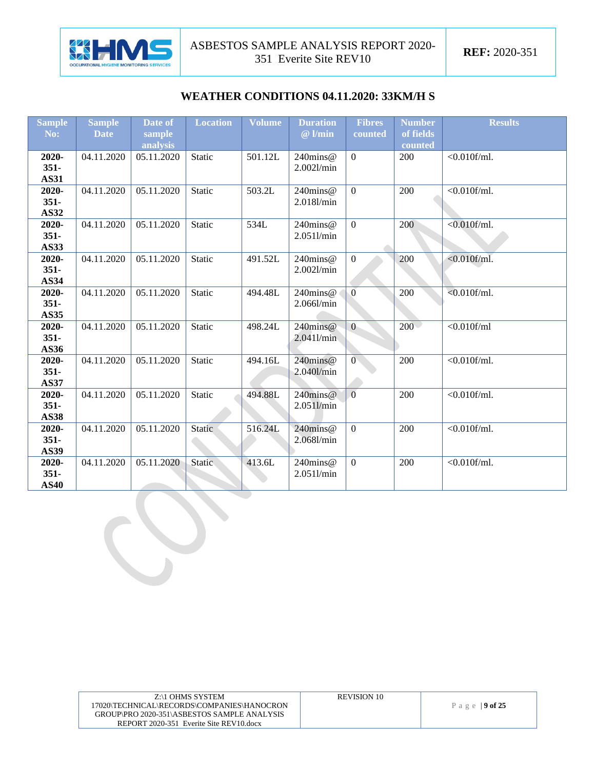

#### **WEATHER CONDITIONS 04.11.2020: 33KM/H S**

| <b>Sample</b>          | <b>Sample</b> | Date of    | <b>Location</b> | Volume  | <b>Duration</b> | <b>Fibres</b>  | <b>Number</b> | <b>Results</b>  |
|------------------------|---------------|------------|-----------------|---------|-----------------|----------------|---------------|-----------------|
| No:                    | <b>Date</b>   | sample     |                 |         | $@$ l/min       | counted        | of fields     |                 |
|                        |               | analysis   |                 |         |                 |                | counted       |                 |
| 2020-                  | 04.11.2020    | 05.11.2020 | Static          | 501.12L | 240mins@        | $\overline{0}$ | 200           | $<0.010$ f/ml.  |
| $351 -$                |               |            |                 |         | 2.0021/min      |                |               |                 |
| <b>AS31</b>            |               |            |                 |         |                 |                |               |                 |
| 2020-                  | 04.11.2020    | 05.11.2020 | Static          | 503.2L  | 240mins@        | $\overline{0}$ | 200           | $<0.010$ f/ml.  |
| $351 -$                |               |            |                 |         | 2.018l/min      |                |               |                 |
| AS32                   |               |            |                 |         |                 |                |               |                 |
| 2020-                  | 04.11.2020    | 05.11.2020 | <b>Static</b>   | 534L    | 240mins@        | $\overline{0}$ | 200           | $< 0.010$ f/ml. |
| $351 -$                |               |            |                 |         | 2.0511/min      |                |               |                 |
| <b>AS33</b>            |               |            |                 |         |                 |                |               |                 |
| 2020-                  | 04.11.2020    | 05.11.2020 | <b>Static</b>   | 491.52L | 240mins@        | $\overline{0}$ | 200           | $< 0.010$ f/ml. |
| $351 -$<br><b>AS34</b> |               |            |                 |         | 2.0021/min      |                |               |                 |
| 2020-                  | 04.11.2020    | 05.11.2020 | <b>Static</b>   | 494.48L | 240mins@        | $\overline{0}$ | 200           | $< 0.010$ f/ml. |
| $351 -$                |               |            |                 |         | 2.066l/min      |                |               |                 |
| <b>AS35</b>            |               |            |                 |         |                 |                |               |                 |
| 2020-                  | 04.11.2020    | 05.11.2020 | <b>Static</b>   | 498.24L | $240$ mins@     | $\overline{0}$ | $200 -$       | $<$ 0.010f/ml   |
| $351 -$                |               |            |                 |         | 2.0411/min      |                |               |                 |
| AS36                   |               |            |                 |         |                 |                |               |                 |
| 2020-                  | 04.11.2020    | 05.11.2020 | <b>Static</b>   | 494.16L | 240mins@        | $\overline{0}$ | 200           | $< 0.010$ f/ml. |
| $351 -$                |               |            |                 |         | 2.0401/min      |                |               |                 |
| <b>AS37</b>            |               |            |                 |         |                 |                |               |                 |
| 2020-                  | 04.11.2020    | 05.11.2020 | <b>Static</b>   | 494.88L | $240$ mins@     | $\overline{0}$ | 200           | $<0.010$ f/ml.  |
| $351 -$                |               |            |                 |         | 2.0511/min      |                |               |                 |
| <b>AS38</b>            |               |            |                 |         |                 |                |               |                 |
| 2020-                  | 04.11.2020    | 05.11.2020 | Static          | 516.24L | $240$ mins@     | $\overline{0}$ | 200           | $< 0.010$ f/ml. |
| $351 -$                |               |            |                 |         | 2.068l/min      |                |               |                 |
| <b>AS39</b>            |               |            |                 |         |                 |                |               |                 |
| 2020-                  | 04.11.2020    | 05.11.2020 | Static.         | 413.6L  | 240mins@        | $\overline{0}$ | 200           | $< 0.010$ f/ml. |
| $351 -$                |               |            |                 |         | 2.0511/min      |                |               |                 |
| <b>AS40</b>            |               |            |                 |         |                 |                |               |                 |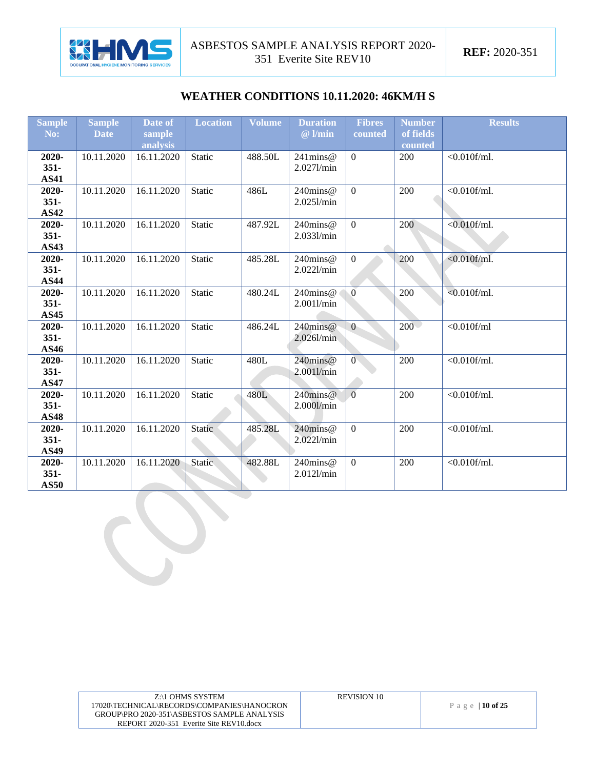

#### **WEATHER CONDITIONS 10.11.2020: 46KM/H S**

| <b>Sample</b>          | <b>Sample</b> | Date of    | <b>Location</b> | <b>Volume</b> | <b>Duration</b> | <b>Fibres</b>  | <b>Number</b> | <b>Results</b>  |
|------------------------|---------------|------------|-----------------|---------------|-----------------|----------------|---------------|-----------------|
| No:                    | <b>Date</b>   | sample     |                 |               | $@$ l/min       | counted        | of fields     |                 |
|                        |               | analysis   |                 |               |                 |                | counted       |                 |
| 2020-                  | 10.11.2020    | 16.11.2020 | Static          | 488.50L       | $241$ mins $@$  | $\overline{0}$ | <b>200</b>    | $< 0.010$ f/ml. |
| $351 -$                |               |            |                 |               | 2.027l/min      |                |               |                 |
| <b>AS41</b>            |               |            |                 |               |                 |                |               |                 |
| 2020-                  | 10.11.2020    | 16.11.2020 | Static          | 486L          | 240mins@        | $\overline{0}$ | 200           | $< 0.010$ f/ml. |
| $351 -$                |               |            |                 |               | 2.0251/min      |                |               |                 |
| <b>AS42</b>            |               |            |                 |               |                 |                |               |                 |
| 2020-                  | 10.11.2020    | 16.11.2020 | Static          | 487.92L       | 240mins@        | $\overline{0}$ | 200           | $<0.010$ f/ml.  |
| $351 -$                |               |            |                 |               | 2.0331/min      |                |               |                 |
| AS43                   |               |            |                 |               |                 |                |               |                 |
| 2020-                  | 10.11.2020    | 16.11.2020 | Static          | 485.28L       | 240mins@        | $\overline{0}$ | 200           | $< 0.010$ f/ml. |
| $351 -$                |               |            |                 |               | 2.0221/min      |                |               |                 |
| <b>AS44</b>            |               |            |                 |               |                 |                |               |                 |
| 2020-                  | 10.11.2020    | 16.11.2020 | Static          | 480.24L       | 240mins@        | $\overline{0}$ | 200           | $< 0.010$ f/ml. |
| $351 -$<br><b>AS45</b> |               |            |                 |               | 2.0011/min      |                |               |                 |
| 2020-                  | 10.11.2020    | 16.11.2020 | Static          | 486.24L       | $240$ mins $@$  | $\overline{0}$ | $200 -$       | $<$ 0.010f/ml   |
| $351 -$                |               |            |                 |               | 2.026l/min      |                |               |                 |
| <b>AS46</b>            |               |            |                 |               |                 |                |               |                 |
| 2020-                  | 10.11.2020    | 16.11.2020 | <b>Static</b>   | 480L          | 240mins@        | $\overline{0}$ | 200           | $< 0.010$ f/ml. |
| $351 -$                |               |            |                 |               | 2.0011/min      |                |               |                 |
| <b>AS47</b>            |               |            |                 |               |                 |                |               |                 |
| 2020-                  | 10.11.2020    | 16.11.2020 | Static          | 480L          | $240$ mins@     | $\overline{0}$ | 200           | $< 0.010$ f/ml. |
| $351 -$                |               |            |                 |               | 2.000l/min      |                |               |                 |
| <b>AS48</b>            |               |            |                 |               |                 |                |               |                 |
| 2020-                  | 10.11.2020    | 16.11.2020 | Static          | 485.28L       | $240$ mins@     | $\overline{0}$ | 200           | $< 0.010$ f/ml. |
| $351 -$                |               |            |                 |               | 2.0221/min      |                |               |                 |
| <b>AS49</b>            |               |            |                 |               |                 |                |               |                 |
| 2020-                  | 10.11.2020    | 16.11.2020 | <b>Static</b>   | 482.88L       | 240mins@        | $\mathbf{0}$   | 200           | $< 0.010$ f/ml. |
| $351 -$                |               |            |                 |               | 2.012l/min      |                |               |                 |
| <b>AS50</b>            |               |            |                 |               |                 |                |               |                 |

| Z:\1 OHMS SYSTEM                            | <b>REVISION 10</b> |                 |
|---------------------------------------------|--------------------|-----------------|
| 17020\TECHNICAL\RECORDS\COMPANIES\HANOCRON  |                    | Page   10 of 25 |
| GROUP\PRO 2020-351\ASBESTOS SAMPLE ANALYSIS |                    |                 |
| REPORT 2020-351 Everite Site REV10.docx     |                    |                 |
|                                             |                    |                 |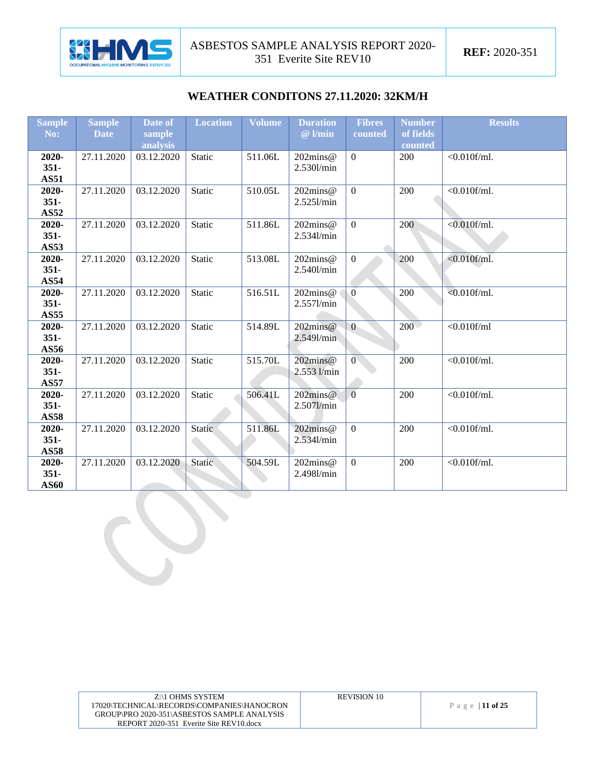

#### **WEATHER CONDITONS 27.11.2020: 32KM/H**

| <b>Sample</b>    | <b>Sample</b> | Date of    | <b>Location</b> | Volume  | <b>Duration</b>                   | <b>Fibres</b>    | <b>Number</b> | <b>Results</b>  |
|------------------|---------------|------------|-----------------|---------|-----------------------------------|------------------|---------------|-----------------|
| No:              | <b>Date</b>   | sample     |                 |         | $@$ l/min                         | counted          | of fields     |                 |
|                  |               | analysis   |                 |         |                                   |                  | counted       |                 |
| 2020-            | 27.11.2020    | 03.12.2020 | Static          | 511.06L | 202mins@                          | $\overline{0}$   | 200           | $<0.010$ f/ml.  |
| $351 -$          |               |            |                 |         | 2.530l/min                        |                  |               |                 |
| <b>AS51</b>      |               |            |                 |         |                                   |                  |               |                 |
| 2020-            | 27.11.2020    | 03.12.2020 | Static          | 510.05L | 202mins@                          | $\overline{0}$   | 200           | $<0.010$ f/ml.  |
| $351 -$          |               |            |                 |         | 2.5251/min                        |                  |               |                 |
| <b>AS52</b>      |               |            |                 |         |                                   |                  |               |                 |
| 2020-            | 27.11.2020    | 03.12.2020 | Static          | 511.86L | 202mins@                          | $\overline{0}$   | 200           | $< 0.010$ f/ml. |
| $351 -$          |               |            |                 |         | 2.534l/min                        |                  |               |                 |
| <b>AS53</b>      |               |            |                 |         |                                   |                  |               |                 |
| 2020-<br>$351 -$ | 27.11.2020    | 03.12.2020 | Static          | 513.08L | $202 \text{mins} @$<br>2.540l/min | $\overline{0}$   | 200           | $< 0.010$ f/ml. |
| <b>AS54</b>      |               |            |                 |         |                                   |                  |               |                 |
| 2020-            | 27.11.2020    | 03.12.2020 | Static          | 516.51L | 202mins@                          | $\overline{0}$   | 200           | $< 0.010$ f/ml. |
| $351 -$          |               |            |                 |         | 2.557l/min                        |                  |               |                 |
| <b>AS55</b>      |               |            |                 |         |                                   |                  |               |                 |
| 2020-            | 27.11.2020    | 03.12.2020 | Static          | 514.89L | $202 \text{mins} @$               | $\overline{0}$   | $200 -$       | $<0.010$ f/ml   |
| $351 -$          |               |            |                 |         | 2.5491/min                        |                  |               |                 |
| AS56             |               |            |                 |         |                                   |                  |               |                 |
| 2020-            | 27.11.2020    | 03.12.2020 | Static          | 515.70L | 202mins@                          | $\overline{0}$   | 200           | $< 0.010$ f/ml. |
| $351 -$          |               |            |                 |         | 2.553 l/min                       |                  |               |                 |
| <b>AS57</b>      |               |            |                 |         |                                   |                  |               |                 |
| 2020-            | 27.11.2020    | 03.12.2020 | Static          | 506.41L | $202 \text{mins} @$               | $\overline{0}$   | 200           | $<0.010$ f/ml.  |
| $351 -$          |               |            |                 |         | 2.507l/min                        |                  |               |                 |
| <b>AS58</b>      |               |            |                 |         |                                   |                  |               |                 |
| 2020-            | 27.11.2020    | 03.12.2020 | Static          | 511.86L | $202$ mins@                       | $\mathbf{0}$     | 200           | $<0.010$ f/ml.  |
| $351 -$          |               |            |                 |         | 2.5341/min                        |                  |               |                 |
| <b>AS58</b>      |               |            |                 |         |                                   |                  |               |                 |
| 2020-            | 27.11.2020    | 03.12.2020 | <b>Static</b>   | 504.59L | 202mins@                          | $\boldsymbol{0}$ | 200           | $<0.010$ f/ml.  |
| $351 -$          |               |            |                 |         | 2.4981/min                        |                  |               |                 |
| <b>AS60</b>      |               |            |                 |         |                                   |                  |               |                 |

| Z:\1 OHMS SYSTEM                            | <b>REVISION 10</b> |                 |
|---------------------------------------------|--------------------|-----------------|
| 17020\TECHNICAL\RECORDS\COMPANIES\HANOCRON  |                    | Page   11 of 25 |
| GROUP\PRO 2020-351\ASBESTOS SAMPLE ANALYSIS |                    |                 |
| REPORT 2020-351 Everite Site REV10.docx     |                    |                 |
|                                             |                    |                 |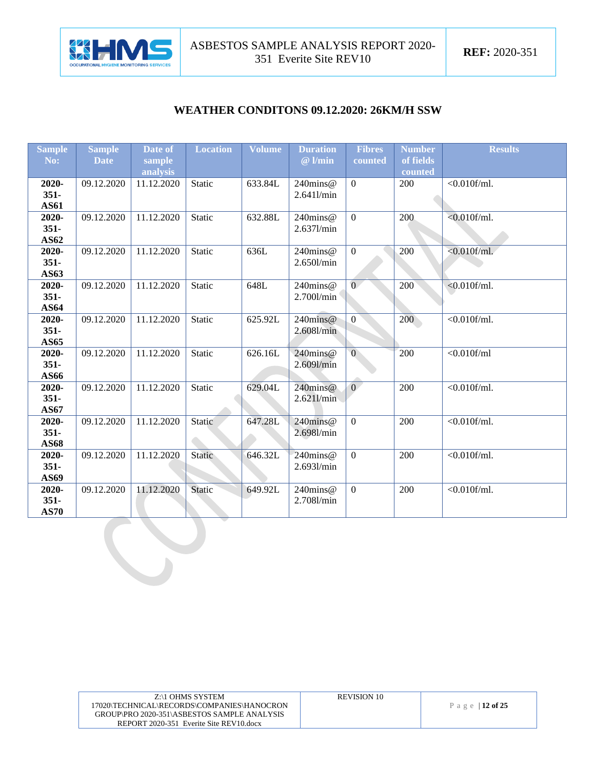

#### **WEATHER CONDITONS 09.12.2020: 26KM/H SSW**

| <b>Sample</b>        | <b>Sample</b> | Date of                | <b>Location</b> | Volume  | <b>Duration</b>        | <b>Fibres</b>  | <b>Number</b>  | <b>Results</b>            |
|----------------------|---------------|------------------------|-----------------|---------|------------------------|----------------|----------------|---------------------------|
| No:                  | <b>Date</b>   | sample                 |                 |         | $@$ l/min              | counted        | of fields      |                           |
| 2020-                | 09.12.2020    | analysis<br>11.12.2020 | Static          | 633.84L | $240$ mins@            | $\mathbf{0}$   | counted<br>200 | $< 0.010$ f/ml.           |
| $351 -$              |               |                        |                 |         | $2.641$ /min           |                |                |                           |
| <b>AS61</b>          |               |                        |                 |         |                        |                |                |                           |
| 2020-                | 09.12.2020    | 11.12.2020             | Static          | 632.88L | 240mins@               | $\overline{0}$ | 200            | $<0.01\overline{0f/ml}$ . |
| $351 -$              |               |                        |                 |         | 2.637l/min             |                |                |                           |
| AS62                 |               |                        |                 |         |                        |                |                |                           |
| 2020-                | 09.12.2020    | 11.12.2020             | Static          | 636L    | 240mins@               | $\overline{0}$ | 200            | $< 0.010$ f/ml.           |
| $351 -$              |               |                        |                 |         | 2.650l/min             |                |                |                           |
| AS63                 |               |                        |                 |         |                        |                |                |                           |
| 2020-                | 09.12.2020    | 11.12.2020             | Static          | 648L    | 240mins@               | $\overline{0}$ | 200            | $< 0.010$ f/ml.           |
| $351 -$              |               |                        |                 |         | 2.700l/min             |                |                |                           |
| <b>AS64</b><br>2020- | 09.12.2020    | 11.12.2020             | Static          | 625.92L | $240$ mins@            | $\overline{0}$ | 200            | $\sqrt{0.010$ f/ml.       |
| $351 -$              |               |                        |                 |         | 2.6081/min             |                |                |                           |
| <b>AS65</b>          |               |                        |                 |         |                        |                |                |                           |
| 2020-                | 09.12.2020    | 11.12.2020             | Static          | 626.16L | 240mins@               | $\overline{0}$ | 200            | $<$ 0.010f/ml             |
| $351 -$              |               |                        |                 |         | 2.609l/min             |                |                |                           |
| AS66                 |               |                        |                 |         |                        |                |                |                           |
| 2020-                | 09.12.2020    | 11.12.2020             | Static          | 629.04L | 240mins@               | $\Omega$       | 200            | $<0.010$ f/ml.            |
| $351 -$              |               |                        |                 |         | $2.621$ l/min          |                |                |                           |
| AS67                 |               |                        |                 |         |                        |                |                |                           |
| 2020-                | 09.12.2020    | 11.12.2020             | Static          | 647.28L | $240$ mins@            | $\overline{0}$ | 200            | $< 0.010$ f/ml.           |
| $351 -$              |               |                        |                 |         | 2.698l/min             |                |                |                           |
| <b>AS68</b>          |               |                        |                 |         |                        | $\overline{0}$ |                |                           |
| 2020-<br>$351 -$     | 09.12.2020    | 11.12.2020             | Static          | 646.32L | 240mins@<br>2.6931/min |                | 200            | $< 0.010$ f/ml.           |
| AS69                 |               |                        |                 |         |                        |                |                |                           |
| 2020-                | 09.12.2020    | 11.12.2020             | Static          | 649.92L | $240$ mins@            | $\mathbf{0}$   | 200            | $\sqrt{0.010$ f/ml.       |
| $351 -$              |               |                        |                 |         | 2.708l/min             |                |                |                           |
| <b>AS70</b>          |               |                        |                 |         |                        |                |                |                           |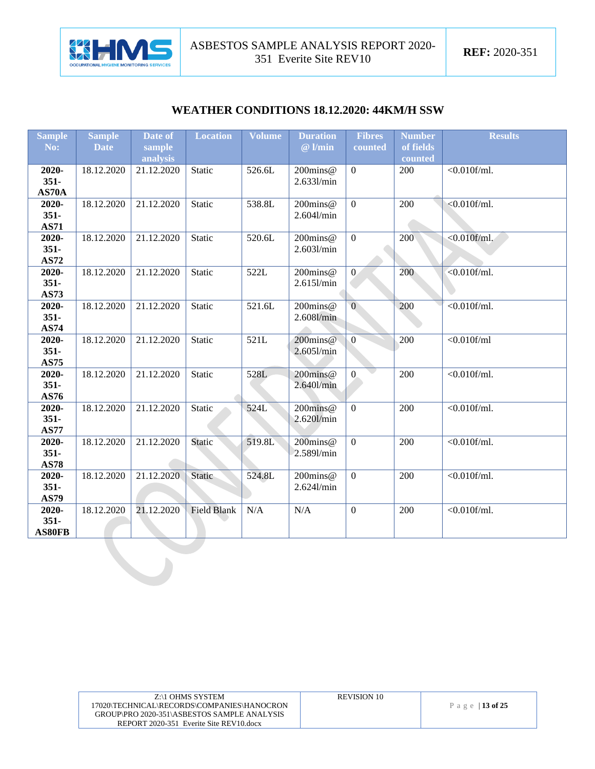

#### **WEATHER CONDITIONS 18.12.2020: 44KM/H SSW**

| <b>Sample</b> | <b>Sample</b> | Date of    | <b>Location</b>    | <b>Volume</b> | <b>Duration</b> | <b>Fibres</b>  | <b>Number</b> | <b>Results</b>      |
|---------------|---------------|------------|--------------------|---------------|-----------------|----------------|---------------|---------------------|
| No:           | <b>Date</b>   | sample     |                    |               | @ l/min         | counted        | of fields     |                     |
|               |               | analysis   |                    |               |                 |                | counted       |                     |
| 2020-         | 18.12.2020    | 21.12.2020 | Static             | 526.6L        | 200mins@        | $\Omega$       | 200           | $<$ 0.010f/ml.      |
| $351 -$       |               |            |                    |               | 2.6331/min      |                |               |                     |
| AS70A         |               |            |                    |               |                 |                |               |                     |
| 2020-         | 18.12.2020    | 21.12.2020 | <b>Static</b>      | 538.8L        | 200mins@        | $\overline{0}$ | 200           | $< 0.010$ f/ml.     |
| $351 -$       |               |            |                    |               | $2.604$ l/min   |                |               |                     |
| <b>AS71</b>   |               |            |                    |               |                 |                |               |                     |
| 2020-         | 18.12.2020    | 21.12.2020 | <b>Static</b>      | 520.6L        | 200mins@        | $\overline{0}$ | 200           | $< 0.010$ f/ml.     |
| $351 -$       |               |            |                    |               | 2.603l/min      |                |               |                     |
| <b>AS72</b>   |               |            |                    |               |                 |                |               |                     |
| 2020-         | 18.12.2020    | 21.12.2020 | Static             | 522L          | 200mins@        | $\overline{0}$ | 200           | $< 0.010$ f/ml.     |
| $351 -$       |               |            |                    |               | 2.615l/min      |                |               |                     |
| <b>AS73</b>   |               |            |                    |               |                 |                |               |                     |
| 2020-         | 18.12.2020    | 21.12.2020 | <b>Static</b>      | 521.6L        | 200mins@        | $\overline{0}$ | 200           | $< 0.010$ f/ml.     |
| $351 -$       |               |            |                    |               | 2.608l/min      |                |               |                     |
| <b>AS74</b>   |               |            |                    |               |                 |                |               |                     |
| 2020-         | 18.12.2020    | 21.12.2020 | <b>Static</b>      | 521L          | 200mins@        | $\overline{0}$ | 200           | $<$ 0.010f/ml       |
| $351 -$       |               |            |                    |               | 2.6051/min      |                |               |                     |
| <b>AS75</b>   |               |            |                    |               |                 |                |               |                     |
| 2020-         | 18.12.2020    | 21.12.2020 | <b>Static</b>      | 528L          | 200mins@        | $\overline{0}$ | 200           | $\sqrt{0.010$ f/ml. |
| $351 -$       |               |            |                    |               | 2.640l/min      |                |               |                     |
| AS76          |               |            |                    |               |                 |                |               |                     |
| 2020-         | 18.12.2020    | 21.12.2020 | <b>Static</b>      | 524L          | 200mins@        | $\overline{0}$ | 200           | $< 0.010$ f/ml.     |
| $351 -$       |               |            |                    |               | 2.620l/min      |                |               |                     |
| <b>AS77</b>   |               |            |                    |               |                 |                |               |                     |
| 2020-         | 18.12.2020    | 21.12.2020 | Static             | 519.8L        | 200mins@        | $\overline{0}$ | 200           | $< 0.010$ f/ml.     |
| $351 -$       |               |            |                    |               | 2.589l/min      |                |               |                     |
| <b>AS78</b>   |               |            |                    |               |                 |                |               |                     |
| 2020-         | 18.12.2020    | 21.12.2020 | Static             | 524.8L        | 200mins@        | $\overline{0}$ | 200           | $< 0.010$ f/ml.     |
| $351 -$       |               |            |                    |               | 2.624l/min      |                |               |                     |
| <b>AS79</b>   |               |            |                    |               |                 |                |               |                     |
| 2020-         | 18.12.2020    | 21.12.2020 | <b>Field Blank</b> | N/A           | N/A             | $\overline{0}$ | 200           | $<0.010$ f/ml.      |
| $351 -$       |               |            |                    |               |                 |                |               |                     |
| AS80FB        |               |            |                    |               |                 |                |               |                     |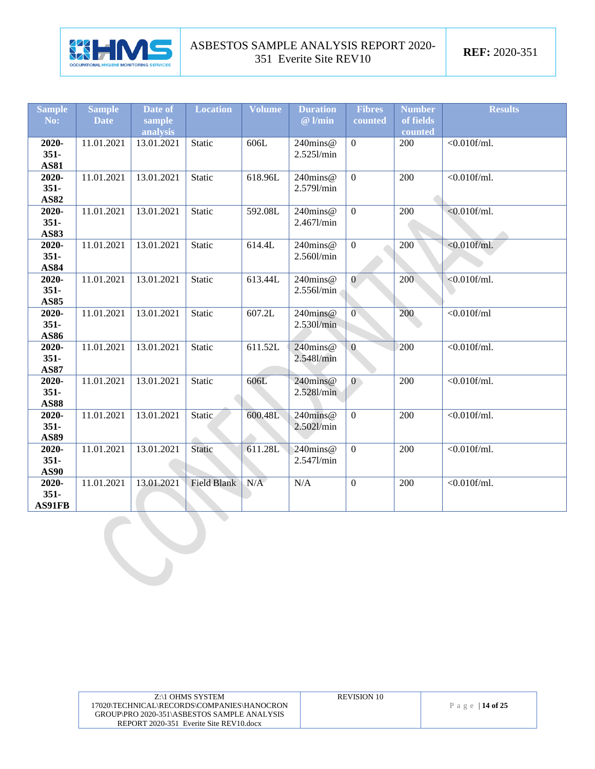

| <b>Sample</b> | <b>Sample</b> | Date of    | <b>Location</b>    | <b>Volume</b> | <b>Duration</b> | <b>Fibres</b>    | <b>Number</b> | <b>Results</b>      |
|---------------|---------------|------------|--------------------|---------------|-----------------|------------------|---------------|---------------------|
| No:           | <b>Date</b>   | sample     |                    |               | $@$ l/min       | counted          | of fields     |                     |
|               |               | analysis   |                    |               |                 |                  | counted       |                     |
| 2020-         | 11.01.2021    | 13.01.2021 | Static             | 606L          | 240mins@        | $\overline{0}$   | 200           | $< 0.010$ f/ml.     |
| $351 -$       |               |            |                    |               | 2.5251/min      |                  |               |                     |
| <b>AS81</b>   |               |            |                    |               |                 |                  |               |                     |
| 2020-         | 11.01.2021    | 13.01.2021 | Static             | 618.96L       | 240mins@        | $\mathbf{0}$     | 200           | $<0.010$ f/ml.      |
| $351 -$       |               |            |                    |               | 2.579l/min      |                  |               |                     |
| <b>AS82</b>   |               |            |                    |               |                 |                  |               |                     |
| 2020-         | 11.01.2021    | 13.01.2021 | Static             | 592.08L       | $240$ mins@     | $\overline{0}$   | 200           | $< 0.010$ f/ml.     |
| $351 -$       |               |            |                    |               | 2.467l/min      |                  |               |                     |
| <b>AS83</b>   |               |            |                    |               |                 |                  |               |                     |
| 2020-         | 11.01.2021    | 13.01.2021 | <b>Static</b>      | 614.4L        | 240mins@        | $\overline{0}$   | 200           | $<0.010$ f/ml.      |
| $351 -$       |               |            |                    |               | 2.560l/min      |                  |               |                     |
| <b>AS84</b>   |               |            |                    |               |                 |                  |               |                     |
| 2020-         | 11.01.2021    | 13.01.2021 | Static             | 613.44L       | 240mins@        | $\mathbf{0}$     | 200           | $< 0.010$ f/ml.     |
| $351 -$       |               |            |                    |               | $2.556$ l/min   |                  |               |                     |
| <b>AS85</b>   |               |            |                    |               |                 |                  |               |                     |
| 2020-         | 11.01.2021    | 13.01.2021 | <b>Static</b>      | 607.2L        | 240mins@        | $\overline{0}$   | 200           | $<$ 0.010f/ml       |
| $351 -$       |               |            |                    |               | 2.530l/min      |                  |               |                     |
| AS86          |               |            |                    |               |                 |                  |               |                     |
| 2020-         | 11.01.2021    | 13.01.2021 | <b>Static</b>      | 611.52L       | 240mins@        | $\overline{0}$   | 200           | $< 0.010$ f/ml.     |
| $351 -$       |               |            |                    |               | 2.548l/min      |                  |               |                     |
| <b>AS87</b>   |               |            |                    |               |                 |                  |               |                     |
| 2020-         | 11.01.2021    | 13.01.2021 | <b>Static</b>      | 606L          | 240mins@        | $\mathbf{0}$     | 200           | $<0.010$ f/ml.      |
| $351 -$       |               |            |                    |               | 2.528l/min      |                  |               |                     |
| <b>AS88</b>   |               |            |                    |               |                 |                  |               |                     |
| 2020-         | 11.01.2021    | 13.01.2021 | Static             | 600.48L       | 240mins@        | $\overline{0}$   | 200           | $\sqrt{0.010$ f/ml. |
| $351 -$       |               |            |                    |               | 2.502l/min      |                  |               |                     |
| <b>AS89</b>   |               |            |                    |               |                 |                  |               |                     |
| 2020-         | 11.01.2021    | 13.01.2021 | Static             | 611.28L       | $240$ mins@     | $\mathbf{0}$     | 200           | $< 0.010$ f/ml.     |
| $351 -$       |               |            |                    |               | 2.547l/min      |                  |               |                     |
| <b>AS90</b>   |               |            |                    |               |                 |                  |               |                     |
| 2020-         | 11.01.2021    | 13.01.2021 | <b>Field Blank</b> | N/A           | N/A             | $\boldsymbol{0}$ | 200           | $<$ 0.010f/ml.      |
| $351 -$       |               |            |                    |               |                 |                  |               |                     |
| AS91FB        |               |            |                    |               |                 |                  |               |                     |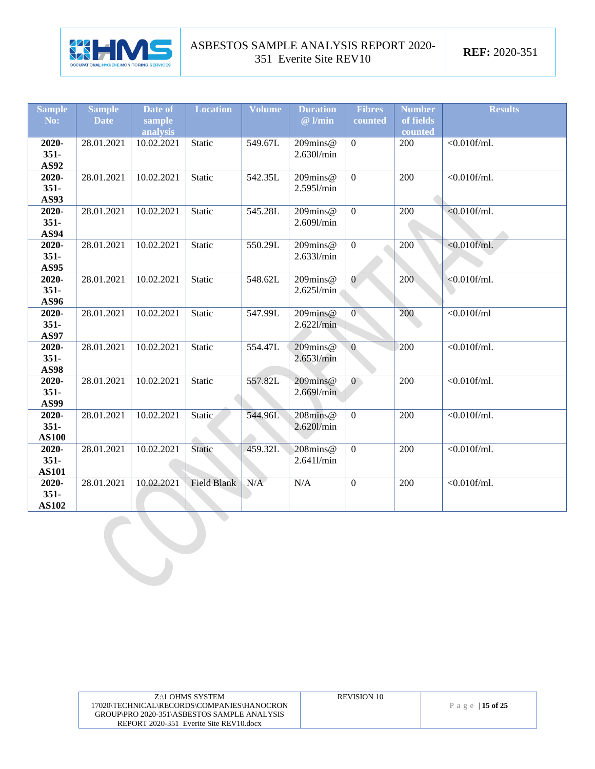

| <b>Sample</b> | <b>Sample</b> | Date of    | <b>Location</b> | <b>Volume</b> | <b>Duration</b> | <b>Fibres</b>  | <b>Number</b> | <b>Results</b>      |
|---------------|---------------|------------|-----------------|---------------|-----------------|----------------|---------------|---------------------|
| No:           | <b>Date</b>   | sample     |                 |               | $@$ l/min       | counted        | of fields     |                     |
|               |               | analysis   |                 |               |                 |                | counted       |                     |
| 2020-         | 28.01.2021    | 10.02.2021 | Static          | 549.67L       | $209$ mins@     | $\overline{0}$ | 200           | $< 0.010$ f/ml.     |
| $351 -$       |               |            |                 |               | 2.630l/min      |                |               |                     |
| AS92          |               |            |                 |               |                 |                |               |                     |
| 2020-         | 28.01.2021    | 10.02.2021 | <b>Static</b>   | 542.35L       | 209mins@        | $\overline{0}$ | 200           | $< 0.010$ f/ml.     |
| $351 -$       |               |            |                 |               | 2.5951/min      |                |               |                     |
| <b>AS93</b>   |               |            |                 |               |                 |                |               |                     |
| 2020-         | 28.01.2021    | 10.02.2021 | Static          | 545.28L       | 209mins@        | $\overline{0}$ | 200           | $< 0.010$ f/ml.     |
| $351 -$       |               |            |                 |               | 2.609l/min      |                |               |                     |
| <b>AS94</b>   |               |            |                 |               |                 |                |               |                     |
| 2020-         | 28.01.2021    | 10.02.2021 | <b>Static</b>   | 550.29L       | 209mins@        | $\mathbf{0}$   | 200           | $<0.010$ f/ml.      |
| $351 -$       |               |            |                 |               | 2.6331/min      |                |               |                     |
| <b>AS95</b>   |               |            |                 |               |                 |                |               |                     |
| 2020-         | 28.01.2021    | 10.02.2021 | Static          | 548.62L       | $209$ mins@     | $\overline{0}$ | 200           | $< 0.010$ f/ml.     |
| $351 -$       |               |            |                 |               | 2.6251/min      |                |               |                     |
| AS96          |               |            |                 |               |                 |                |               |                     |
| 2020-         | 28.01.2021    | 10.02.2021 | Static          | 547.99L       | 209mins@        | $\overline{0}$ | 200           | $<$ 0.010f/ml       |
| $351 -$       |               |            |                 |               | $2.622$ l/min   |                |               |                     |
| <b>AS97</b>   |               |            |                 |               |                 |                |               |                     |
| 2020-         | 28.01.2021    | 10.02.2021 | <b>Static</b>   | 554.47L       | $209$ mins@     | $\overline{0}$ | 200           | $< 0.010$ f/ml.     |
| $351 -$       |               |            |                 |               | 2.6531/min      |                |               |                     |
| <b>AS98</b>   |               |            |                 |               |                 |                |               |                     |
| 2020-         | 28.01.2021    | 10.02.2021 | Static          | 557.82L       | 209mins@        | $\overline{0}$ | 200           | $< 0.010$ f/ml.     |
| $351 -$       |               |            |                 |               | 2.669l/min      |                |               |                     |
| <b>AS99</b>   |               |            |                 |               |                 |                |               |                     |
| 2020-         | 28.01.2021    | 10.02.2021 | Static          | 544.96L       | 208mins@        | $\overline{0}$ | 200           | $\sqrt{0.010$ f/ml. |
| $351 -$       |               |            |                 |               | 2.620l/min      |                |               |                     |
| <b>AS100</b>  |               |            |                 |               |                 |                |               |                     |
| 2020-         | 28.01.2021    | 10.02.2021 | <b>Static</b>   | 459.32L       | $208$ mins@     | $\overline{0}$ | 200           | $<0.010$ f/ml.      |
| $351 -$       |               |            |                 |               | $2.641$ /min    |                |               |                     |
| <b>AS101</b>  |               |            |                 |               |                 |                |               |                     |
| 2020-         | 28.01.2021    | 10.02.2021 | Field Blank     | N/A           | N/A             | $\mathbf{0}$   | 200           | $<0.010$ f/ml.      |
| $351 -$       |               |            |                 |               |                 |                |               |                     |
| <b>AS102</b>  |               |            |                 |               |                 |                |               |                     |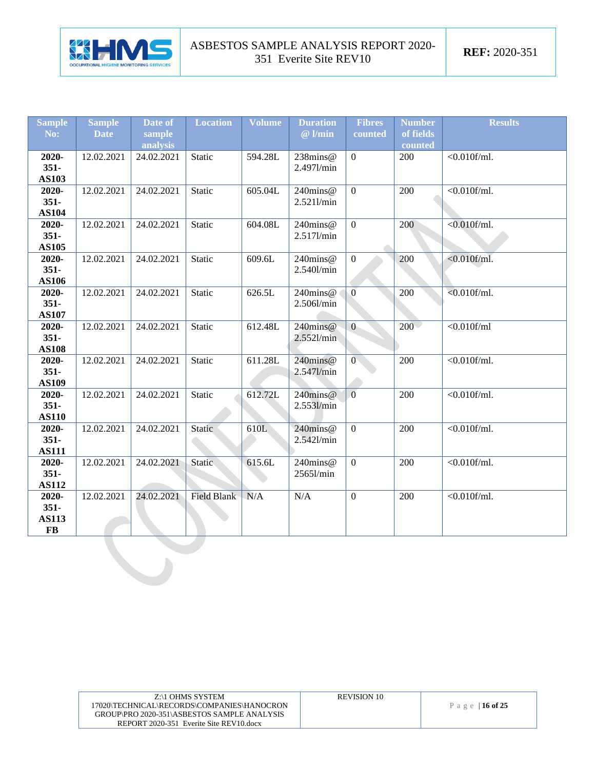

| <b>Sample</b>    | <b>Sample</b> | Date of    | <b>Location</b>    | <b>Volume</b> | <b>Duration</b>           | <b>Fibres</b>  | <b>Number</b> | <b>Results</b>      |
|------------------|---------------|------------|--------------------|---------------|---------------------------|----------------|---------------|---------------------|
| No:              | <b>Date</b>   | sample     |                    |               | $@$ l/min                 | counted        | of fields     |                     |
|                  |               | analysis   |                    |               |                           |                | counted       |                     |
| 2020-            | 12.02.2021    | 24.02.2021 | Static             | 594.28L       | 238mins@                  | $\overline{0}$ | 200           | $\sqrt{0.010$ f/ml. |
| $351 -$          |               |            |                    |               | 2.4971/min                |                |               |                     |
| <b>AS103</b>     |               |            | Static             | 605.04L       | 240mins@                  | $\overline{0}$ | 200           | $<0.010$ f/ml.      |
| 2020-<br>$351 -$ | 12.02.2021    | 24.02.2021 |                    |               | 2.5211/min                |                |               |                     |
| <b>AS104</b>     |               |            |                    |               |                           |                |               |                     |
| 2020-            | 12.02.2021    | 24.02.2021 | Static             | 604.08L       | 240mins@                  | $\overline{0}$ | 200           | $< 0.010$ f/ml.     |
| $351 -$          |               |            |                    |               | 2.517l/min                |                |               |                     |
| <b>AS105</b>     |               |            |                    |               |                           |                |               |                     |
| 2020-            | 12.02.2021    | 24.02.2021 | Static             | 609.6L        | 240mins@                  | $\overline{0}$ | 200           | $< 0.010$ f/ml.     |
| $351 -$          |               |            |                    |               | 2.540l/min                |                |               |                     |
| <b>AS106</b>     |               |            |                    |               |                           |                |               |                     |
| 2020-            | 12.02.2021    | 24.02.2021 | Static             | 626.5L        | 240mins@                  | $\overline{0}$ | 200           | $< 0.010$ f/ml.     |
| $351 -$          |               |            |                    |               | 2.506l/min                |                |               |                     |
| <b>AS107</b>     |               |            |                    |               |                           |                |               |                     |
| 2020-            | 12.02.2021    | 24.02.2021 | Static             | 612.48L       | 240mins@                  | $\overline{0}$ | $200 -$       | $< 0.010$ f/ml      |
| $351 -$          |               |            |                    |               | 2.5521/min                |                |               |                     |
| <b>AS108</b>     |               |            |                    |               |                           |                |               |                     |
| 2020-            | 12.02.2021    | 24.02.2021 | Static             | 611.28L       | 240mins@                  | $\overline{0}$ | 200           | $<0.010$ f/ml.      |
| $351 -$          |               |            |                    |               | 2.5471/min                |                |               |                     |
| <b>AS109</b>     |               |            |                    |               |                           | $\overline{0}$ | 200           | $<0.010$ f/ml.      |
| 2020-<br>$351 -$ | 12.02.2021    | 24.02.2021 | Static             | 612.72L       | $240$ mins@<br>2.5531/min |                |               |                     |
| <b>AS110</b>     |               |            |                    |               |                           |                |               |                     |
| $2020 -$         | 12.02.2021    | 24.02.2021 | Static             | 610L          | 240mins@                  | $\overline{0}$ | 200           | $<0.010$ f/ml.      |
| $351 -$          |               |            |                    |               | 2.5421/min                |                |               |                     |
| <b>AS111</b>     |               |            |                    |               |                           |                |               |                     |
| 2020-            | 12.02.2021    | 24.02.2021 | <b>Static</b>      | 615.6L        | 240mins@                  | $\mathbf{0}$   | 200           | $< 0.010$ f/ml.     |
| $351 -$          |               |            |                    |               | 25651/min                 |                |               |                     |
| <b>AS112</b>     |               |            |                    |               |                           |                |               |                     |
| 2020-            | 12.02.2021    | 24.02.2021 | <b>Field Blank</b> | N/A           | N/A                       | $\overline{0}$ | 200           | $<0.010$ f/ml.      |
| $351 -$          |               |            |                    |               |                           |                |               |                     |
| <b>AS113</b>     |               |            |                    |               |                           |                |               |                     |
| <b>FB</b>        |               |            |                    |               |                           |                |               |                     |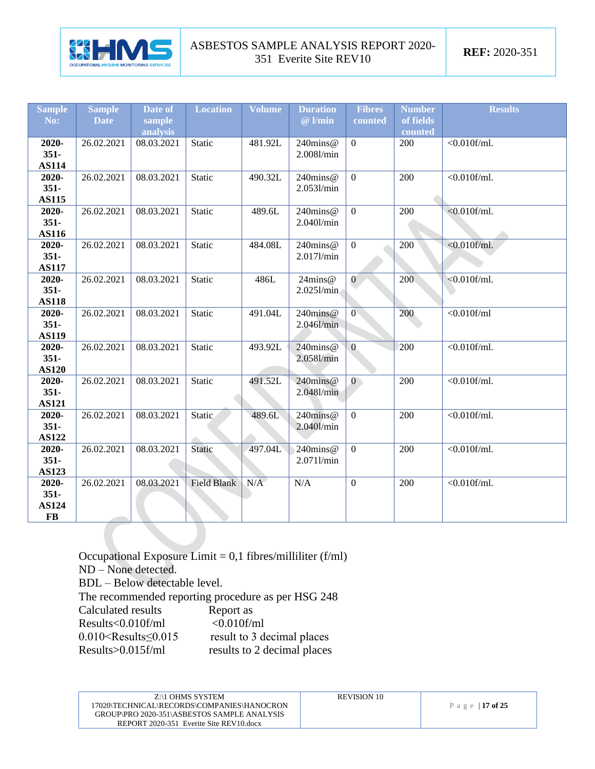

| <b>Sample</b>         | <b>Sample</b> | Date of    | <b>Location</b>    | <b>Volume</b> | <b>Duration</b> | <b>Fibres</b>    | <b>Number</b> | <b>Results</b>  |
|-----------------------|---------------|------------|--------------------|---------------|-----------------|------------------|---------------|-----------------|
| No:                   | <b>Date</b>   | sample     |                    |               | $@$ l/min       | counted          | of fields     |                 |
|                       |               | analysis   |                    |               |                 |                  | counted       |                 |
| 2020-                 | 26.02.2021    | 08.03.2021 | Static             | 481.92L       | 240mins@        | $\boldsymbol{0}$ | 200           | $<$ 0.010f/ml.  |
| $351 -$               |               |            |                    |               | 2.0081/min      |                  |               |                 |
| <b>AS114</b>          |               |            |                    |               |                 |                  |               |                 |
| 2020-                 | 26.02.2021    | 08.03.2021 | <b>Static</b>      | 490.32L       | 240mins@        | $\mathbf{0}$     | 200           | $< 0.010$ f/ml. |
| $351 -$               |               |            |                    |               | 2.0531/min      |                  |               |                 |
| <b>AS115</b>          |               |            |                    |               |                 |                  |               |                 |
| 2020-                 | 26.02.2021    | 08.03.2021 | Static             | 489.6L        | 240mins@        | $\mathbf{0}$     | 200           | $< 0.010$ f/ml. |
| $351 -$               |               |            |                    |               | 2.0401/min      |                  |               |                 |
| <b>AS116</b>          |               |            |                    |               |                 |                  |               |                 |
| 2020-                 | 26.02.2021    | 08.03.2021 | <b>Static</b>      | 484.08L       | 240mins@        | $\overline{0}$   | 200           | $< 0.010$ f/ml. |
| $351 -$               |               |            |                    |               | 2.017l/min      |                  |               |                 |
| <b>AS117</b>          |               |            |                    |               |                 |                  |               |                 |
| 2020-                 | 26.02.2021    | 08.03.2021 | Static             | 486L          | 24mins@         | $\overline{0}$   | 200           | $< 0.010$ f/ml. |
| $351 -$               |               |            |                    |               | 2.0251/min      |                  |               |                 |
| <b>AS118</b>          |               | 08.03.2021 |                    |               | 240mins@        | $\overline{0}$   |               | $<$ 0.010f/ml   |
| 2020-                 | 26.02.2021    |            | <b>Static</b>      | 491.04L       |                 |                  | 200           |                 |
| $351 -$               |               |            |                    |               | 2.046l/min      |                  |               |                 |
| <b>AS119</b><br>2020- | 26.02.2021    | 08.03.2021 | <b>Static</b>      | 493.92L       | $240$ mins@     | $\overline{0}$   | 200           | $< 0.010$ f/ml. |
| $351 -$               |               |            |                    |               | 2.0581/min      |                  |               |                 |
| <b>AS120</b>          |               |            |                    |               |                 |                  |               |                 |
| 2020-                 | 26.02.2021    | 08.03.2021 | <b>Static</b>      | 491.52L       | 240mins@        | $\mathbf{0}$     | 200           | $<0.010$ f/ml.  |
| $351 -$               |               |            |                    |               | 2.0481/min      |                  |               |                 |
| <b>AS121</b>          |               |            |                    |               |                 |                  |               |                 |
| 2020-                 | 26.02.2021    | 08.03.2021 | Static             | 489.6L        | 240mins@        | $\overline{0}$   | 200           | $<0.010$ f/ml.  |
| $351 -$               |               |            |                    |               | 2.0401/min      |                  |               |                 |
| <b>AS122</b>          |               |            |                    |               |                 |                  |               |                 |
| 2020-                 | 26.02.2021    | 08.03.2021 | Static             | 497.04L       | 240mins@        | $\mathbf{0}$     | 200           | $<0.010$ f/ml.  |
| $351 -$               |               |            |                    |               | 2.0711/min      |                  |               |                 |
| <b>AS123</b>          |               |            |                    |               |                 |                  |               |                 |
| 2020-                 | 26.02.2021    | 08.03.2021 | <b>Field Blank</b> | N/A           | N/A             | $\mathbf{0}$     | 200           | $< 0.010$ f/ml. |
| $351 -$               |               |            |                    |               |                 |                  |               |                 |
| <b>AS124</b>          |               |            |                    |               |                 |                  |               |                 |
| $\bf FB$              |               |            |                    |               |                 |                  |               |                 |

Occupational Exposure Limit =  $0,1$  fibres/milliliter (f/ml) ND – None detected. BDL – Below detectable level. The recommended reporting procedure as per HSG 248<br>Calculated results Report as Calculated results<br>Results Report as<br>Results <0.010f/ml <0.010f/ml Results<0.010f/ml <0.010f/ml 0.010<Results≤0.015 result to 3 decimal places Results>0.015f/ml results to 2 decimal places

| Z:\1 OHMS SYSTEM                            | <b>REVISION 10</b> |                 |
|---------------------------------------------|--------------------|-----------------|
| 17020\TECHNICAL\RECORDS\COMPANIES\HANOCRON  |                    | Page   17 of 25 |
| GROUP\PRO 2020-351\ASBESTOS SAMPLE ANALYSIS |                    |                 |
| REPORT 2020-351 Everite Site REV10.docx     |                    |                 |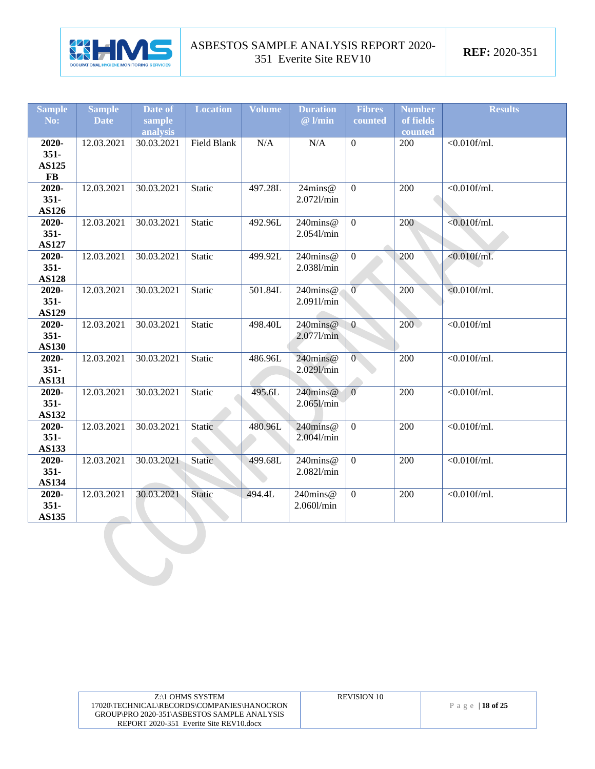

| <b>Sample</b><br>No:                   | <b>Sample</b><br><b>Date</b> | Date of<br>sample<br>analysis | <b>Location</b> | <b>Volume</b> | <b>Duration</b><br>$@$ l/min | <b>Fibres</b><br>counted | <b>Number</b><br>of fields<br>counted | <b>Results</b>       |
|----------------------------------------|------------------------------|-------------------------------|-----------------|---------------|------------------------------|--------------------------|---------------------------------------|----------------------|
| 2020-<br>$351 -$<br><b>AS125</b><br>FB | 12.03.2021                   | 30.03.2021                    | Field Blank     | $\rm N/A$     | $\rm N/A$                    | $\boldsymbol{0}$         | 200                                   | $<0.010$ f/ml.       |
| 2020-<br>$351 -$<br><b>AS126</b>       | 12.03.2021                   | 30.03.2021                    | Static          | 497.28L       | 24mins@<br>2.0721/min        | $\boldsymbol{0}$         | 200                                   | $\sqrt{0.010f/ml}$ . |
| 2020-<br>$351 -$<br><b>AS127</b>       | 12.03.2021                   | 30.03.2021                    | Static          | 492.96L       | 240mins@<br>2.0541/min       | $\mathbf{0}$             | 200                                   | $<0.010$ f/ml.       |
| $2020 -$<br>$351 -$<br><b>AS128</b>    | 12.03.2021                   | 30.03.2021                    | Static          | 499.92L       | $240$ mins@<br>2.0381/min    | $\overline{0}$           | 200                                   | $< 0.010$ f/ml.      |
| 2020-<br>$351 -$<br><b>AS129</b>       | 12.03.2021                   | 30.03.2021                    | Static          | 501.84L       | 240mins@<br>2.0911/min       | $\overline{0}$           | 200                                   | $< 0.010$ f/ml.      |
| 2020-<br>$351 -$<br><b>AS130</b>       | 12.03.2021                   | 30.03.2021                    | Static          | 498.40L       | 240mins@<br>2.0771/min       | $\boldsymbol{0}$         | 200                                   | $<$ 0.010f/ml        |
| 2020-<br>$351 -$<br><b>AS131</b>       | 12.03.2021                   | 30.03.2021                    | Static          | 486.96L       | 240mins@<br>2.0291/min       | $\overline{0}$           | 200                                   | $<0.010$ f/ml.       |
| 2020-<br>$351 -$<br><b>AS132</b>       | 12.03.2021                   | 30.03.2021                    | Static          | 495.6L        | $240$ mins@<br>2.0651/min    | $\overline{0}$           | 200                                   | $<0.010$ f/ml.       |
| 2020-<br>$351 -$<br><b>AS133</b>       | 12.03.2021                   | 30.03.2021                    | Static          | 480.96L       | 240mins@<br>2.0041/min       | $\boldsymbol{0}$         | 200                                   | $\sqrt{0.010f/ml}$ . |
| $2020 -$<br>$351 -$<br><b>AS134</b>    | 12.03.2021                   | 30.03.2021                    | Static          | 499.68L       | 240mins@<br>2.0821/min       | $\mathbf{0}$             | 200                                   | $<0.010$ f/ml.       |
| 2020-<br>$351 -$<br><b>AS135</b>       | 12.03.2021                   | 30.03.2021                    | Static          | 494.4L        | 240mins@<br>2.060l/min       | $\mathbf{0}$             | 200                                   | $<0.010$ f/ml.       |
|                                        |                              |                               |                 |               |                              |                          |                                       |                      |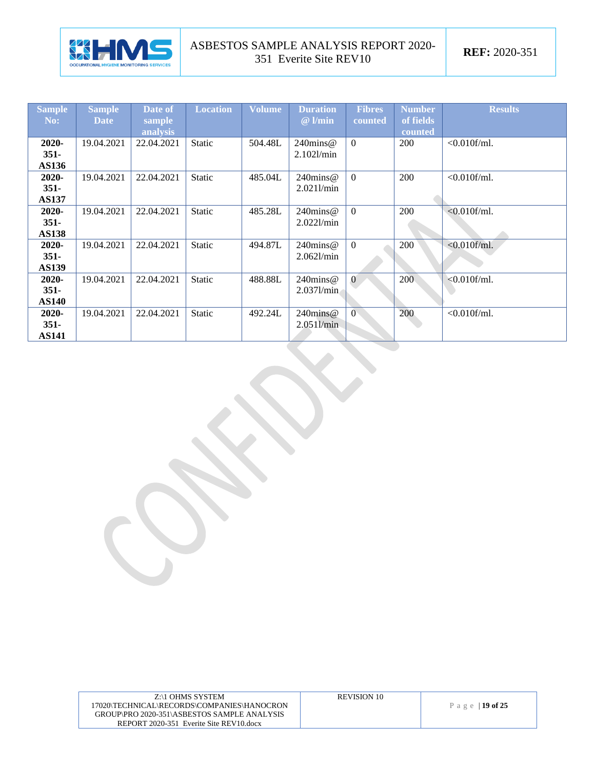

| <b>Sample</b><br>No: | <b>Sample</b><br><b>Date</b> | Date of<br>sample | <b>Location</b> | Volume  | <b>Duration</b><br>$@$ l/min | <b>Fibres</b><br>counted | <b>Number</b><br>of fields | <b>Results</b>  |
|----------------------|------------------------------|-------------------|-----------------|---------|------------------------------|--------------------------|----------------------------|-----------------|
|                      |                              | analysis          |                 |         |                              |                          | counted                    |                 |
| $2020 -$             | 19.04.2021                   | 22.04.2021        | <b>Static</b>   | 504.48L | $240$ mins@                  | $\Omega$                 | 200                        | $< 0.010$ f/ml. |
| $351 -$              |                              |                   |                 |         | 2.1021/min                   |                          |                            |                 |
| <b>AS136</b>         |                              |                   |                 |         |                              |                          |                            |                 |
| $2020 -$             | 19.04.2021                   | 22.04.2021        | <b>Static</b>   | 485.04L | $240$ mins@                  | $\Omega$                 | 200                        | $< 0.010$ f/ml. |
| $351 -$              |                              |                   |                 |         | $2.021$ l/min                |                          |                            |                 |
| <b>AS137</b>         |                              |                   |                 |         |                              |                          |                            |                 |
| $2020 -$             | 19.04.2021                   | 22.04.2021        | Static          | 485.28L | $240$ mins $@$               | $\Omega$                 | 200                        | $< 0.010$ f/ml. |
| $351 -$              |                              |                   |                 |         | 2.0221/min                   |                          |                            |                 |
| <b>AS138</b>         |                              |                   |                 |         |                              |                          |                            |                 |
| $2020 -$             | 19.04.2021                   | 22.04.2021        | <b>Static</b>   | 494.87L | $240$ mins@                  | $\Omega$                 | 200                        | $< 0.010$ f/ml. |
| $351 -$              |                              |                   |                 |         | 2.0621/min                   |                          |                            |                 |
| <b>AS139</b>         |                              |                   |                 |         |                              |                          |                            |                 |
| $2020 -$             | 19.04.2021                   | 22.04.2021        | Static          | 488.88L | $240$ mins@                  | $\overline{0}$           | 200                        | $< 0.010$ f/ml. |
| $351 -$              |                              |                   |                 |         | 2.0371/min                   |                          |                            |                 |
| <b>AS140</b>         |                              |                   |                 |         |                              |                          |                            |                 |
| 2020-                | 19.04.2021                   | 22.04.2021        | Static          | 492.24L | $240$ mins $@$               | $\overline{0}$           | 200                        | $<0.010$ f/ml.  |
| $351 -$              |                              |                   |                 |         | $2.051$ <i>l</i> $min$       |                          |                            |                 |
| <b>AS141</b>         |                              |                   |                 |         |                              |                          |                            |                 |

| Z:\1 OHMS SYSTEM                            | <b>REVISION 10</b> |                 |
|---------------------------------------------|--------------------|-----------------|
| 17020\TECHNICAL\RECORDS\COMPANIES\HANOCRON  |                    | Page   19 of 25 |
| GROUP\PRO 2020-351\ASBESTOS SAMPLE ANALYSIS |                    |                 |
| REPORT 2020-351 Everite Site REV10.docx     |                    |                 |
|                                             |                    |                 |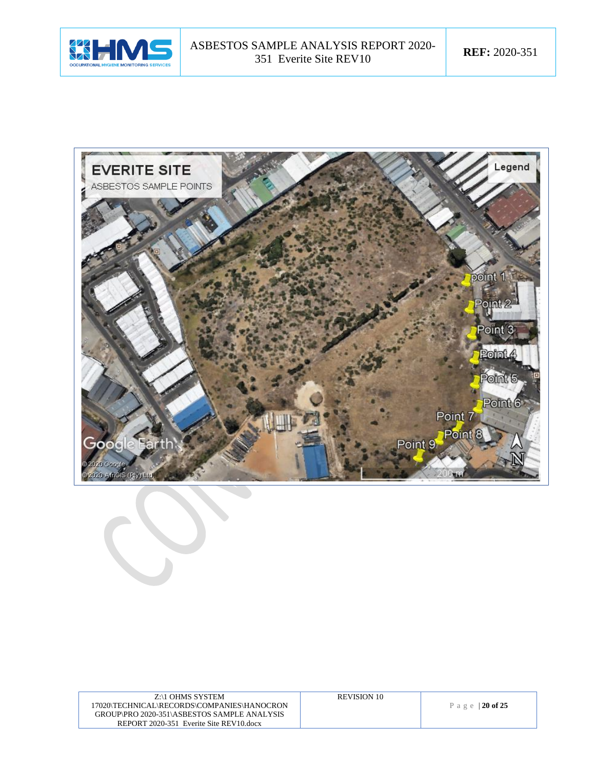



| Z:\1 OHMS SYSTEM                            | <b>REVISION 10</b> |
|---------------------------------------------|--------------------|
| 17020\TECHNICAL\RECORDS\COMPANIES\HANOCRON  |                    |
| GROUP\PRO 2020-351\ASBESTOS SAMPLE ANALYSIS |                    |
| REPORT 2020-351 Everite Site REV10.docx     |                    |
|                                             |                    |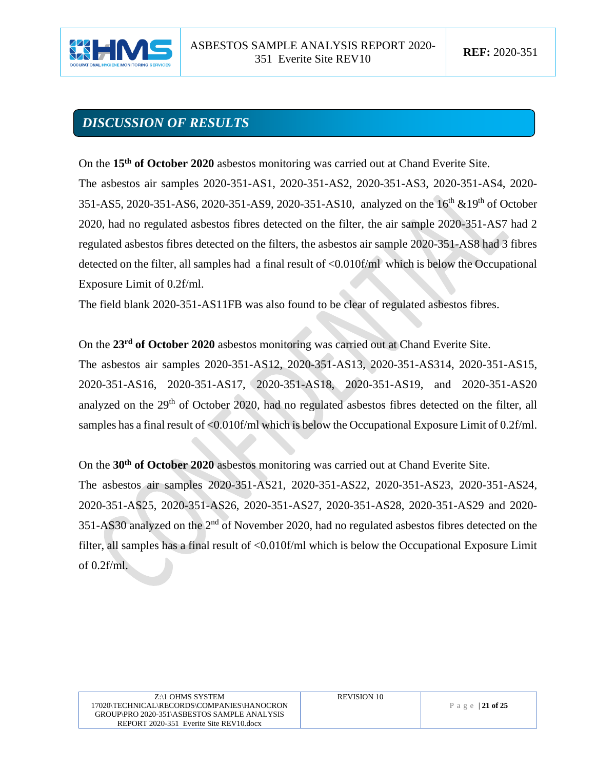

# *DISCUSSION OF RESULTS*

On the **15th of October 2020** asbestos monitoring was carried out at Chand Everite Site.

The asbestos air samples 2020-351-AS1, 2020-351-AS2, 2020-351-AS3, 2020-351-AS4, 2020- 351-AS5, 2020-351-AS6, 2020-351-AS9, 2020-351-AS10, analyzed on the 16<sup>th</sup> &19<sup>th</sup> of October 2020, had no regulated asbestos fibres detected on the filter, the air sample 2020-351-AS7 had 2 regulated asbestos fibres detected on the filters, the asbestos air sample 2020-351-AS8 had 3 fibres detected on the filter, all samples had a final result of <0.010f/ml which is below the Occupational Exposure Limit of 0.2f/ml.

The field blank 2020-351-AS11FB was also found to be clear of regulated asbestos fibres.

On the 23<sup>rd</sup> of October 2020 asbestos monitoring was carried out at Chand Everite Site.

The asbestos air samples 2020-351-AS12, 2020-351-AS13, 2020-351-AS314, 2020-351-AS15, 2020-351-AS16, 2020-351-AS17, 2020-351-AS18, 2020-351-AS19, and 2020-351-AS20 analyzed on the 29<sup>th</sup> of October 2020, had no regulated asbestos fibres detected on the filter, all samples has a final result of <0.010f/ml which is below the Occupational Exposure Limit of 0.2f/ml.

On the **30th of October 2020** asbestos monitoring was carried out at Chand Everite Site.

The asbestos air samples 2020-351-AS21, 2020-351-AS22, 2020-351-AS23, 2020-351-AS24, 2020-351-AS25, 2020-351-AS26, 2020-351-AS27, 2020-351-AS28, 2020-351-AS29 and 2020-  $351 - AS30$  analyzed on the  $2<sup>nd</sup>$  of November 2020, had no regulated asbestos fibres detected on the filter, all samples has a final result of <0.010f/ml which is below the Occupational Exposure Limit of 0.2f/ml.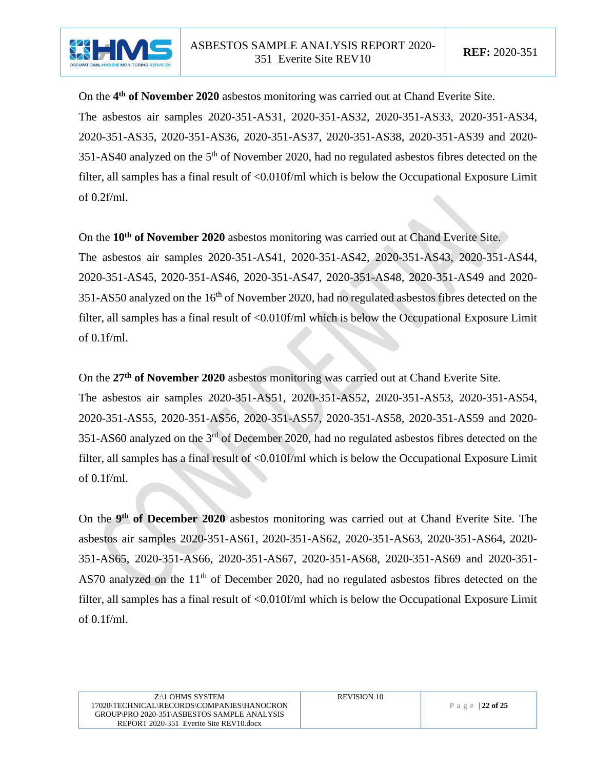

On the 4<sup>th</sup> of November 2020 asbestos monitoring was carried out at Chand Everite Site. The asbestos air samples 2020-351-AS31, 2020-351-AS32, 2020-351-AS33, 2020-351-AS34, 2020-351-AS35, 2020-351-AS36, 2020-351-AS37, 2020-351-AS38, 2020-351-AS39 and 2020-  $351$ -AS40 analyzed on the  $5<sup>th</sup>$  of November 2020, had no regulated asbestos fibres detected on the filter, all samples has a final result of <0.010f/ml which is below the Occupational Exposure Limit of 0.2f/ml.

On the **10th of November 2020** asbestos monitoring was carried out at Chand Everite Site. The asbestos air samples 2020-351-AS41, 2020-351-AS42, 2020-351-AS43, 2020-351-AS44, 2020-351-AS45, 2020-351-AS46, 2020-351-AS47, 2020-351-AS48, 2020-351-AS49 and 2020- 351-AS50 analyzed on the 16<sup>th</sup> of November 2020, had no regulated asbestos fibres detected on the filter, all samples has a final result of <0.010f/ml which is below the Occupational Exposure Limit of 0.1f/ml.

On the **27th of November 2020** asbestos monitoring was carried out at Chand Everite Site. The asbestos air samples 2020-351-AS51, 2020-351-AS52, 2020-351-AS53, 2020-351-AS54, 2020-351-AS55, 2020-351-AS56, 2020-351-AS57, 2020-351-AS58, 2020-351-AS59 and 2020- 351-AS60 analyzed on the 3<sup>rd</sup> of December 2020, had no regulated asbestos fibres detected on the filter, all samples has a final result of <0.010f/ml which is below the Occupational Exposure Limit of 0.1f/ml.

On the 9<sup>th</sup> of December 2020 asbestos monitoring was carried out at Chand Everite Site. The asbestos air samples 2020-351-AS61, 2020-351-AS62, 2020-351-AS63, 2020-351-AS64, 2020- 351-AS65, 2020-351-AS66, 2020-351-AS67, 2020-351-AS68, 2020-351-AS69 and 2020-351- AS70 analyzed on the 11<sup>th</sup> of December 2020, had no regulated asbestos fibres detected on the filter, all samples has a final result of <0.010f/ml which is below the Occupational Exposure Limit of 0.1f/ml.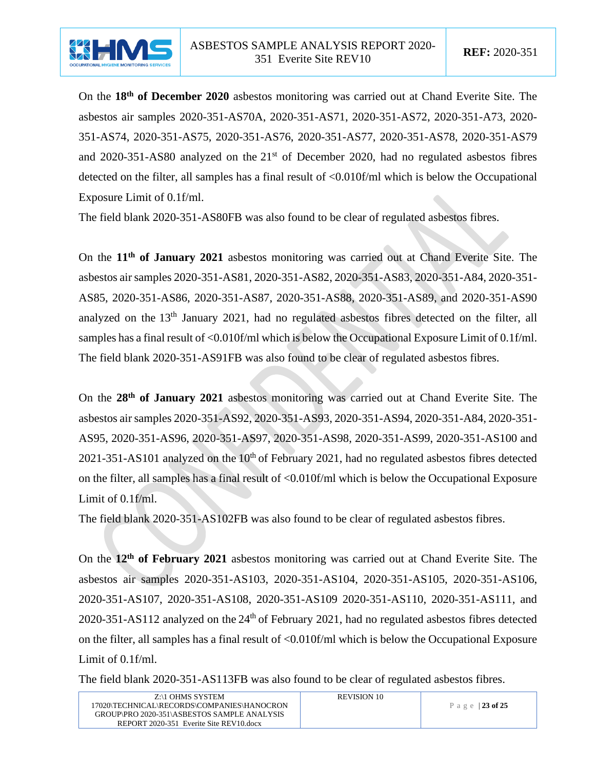

On the **18th of December 2020** asbestos monitoring was carried out at Chand Everite Site. The asbestos air samples 2020-351-AS70A, 2020-351-AS71, 2020-351-AS72, 2020-351-A73, 2020- 351-AS74, 2020-351-AS75, 2020-351-AS76, 2020-351-AS77, 2020-351-AS78, 2020-351-AS79 and  $2020-351-AS80$  analyzed on the  $21<sup>st</sup>$  of December 2020, had no regulated asbestos fibres detected on the filter, all samples has a final result of <0.010f/ml which is below the Occupational Exposure Limit of 0.1f/ml.

The field blank 2020-351-AS80FB was also found to be clear of regulated asbestos fibres.

On the **11th of January 2021** asbestos monitoring was carried out at Chand Everite Site. The asbestos air samples 2020-351-AS81, 2020-351-AS82, 2020-351-AS83, 2020-351-A84, 2020-351- AS85, 2020-351-AS86, 2020-351-AS87, 2020-351-AS88, 2020-351-AS89, and 2020-351-AS90 analyzed on the 13<sup>th</sup> January 2021, had no regulated asbestos fibres detected on the filter, all samples has a final result of <0.010f/ml which is below the Occupational Exposure Limit of 0.1f/ml. The field blank 2020-351-AS91FB was also found to be clear of regulated asbestos fibres.

On the **28th of January 2021** asbestos monitoring was carried out at Chand Everite Site. The asbestos air samples 2020-351-AS92, 2020-351-AS93, 2020-351-AS94, 2020-351-A84, 2020-351- AS95, 2020-351-AS96, 2020-351-AS97, 2020-351-AS98, 2020-351-AS99, 2020-351-AS100 and 2021-351-AS101 analyzed on the  $10<sup>th</sup>$  of February 2021, had no regulated asbestos fibres detected on the filter, all samples has a final result of <0.010f/ml which is below the Occupational Exposure Limit of 0.1f/ml.

The field blank 2020-351-AS102FB was also found to be clear of regulated asbestos fibres.

On the **12th of February 2021** asbestos monitoring was carried out at Chand Everite Site. The asbestos air samples 2020-351-AS103, 2020-351-AS104, 2020-351-AS105, 2020-351-AS106, 2020-351-AS107, 2020-351-AS108, 2020-351-AS109 2020-351-AS110, 2020-351-AS111, and 2020-351-AS112 analyzed on the  $24<sup>th</sup>$  of February 2021, had no regulated asbestos fibres detected on the filter, all samples has a final result of <0.010f/ml which is below the Occupational Exposure Limit of 0.1f/ml.

The field blank 2020-351-AS113FB was also found to be clear of regulated asbestos fibres.

| Z:\1 OHMS SYSTEM                            | <b>REVISION 10</b> |                  |
|---------------------------------------------|--------------------|------------------|
| 17020\TECHNICAL\RECORDS\COMPANIES\HANOCRON  |                    | Page $ 23$ of 25 |
| GROUP\PRO 2020-351\ASBESTOS SAMPLE ANALYSIS |                    |                  |
| REPORT 2020-351 Everite Site REV10.docx     |                    |                  |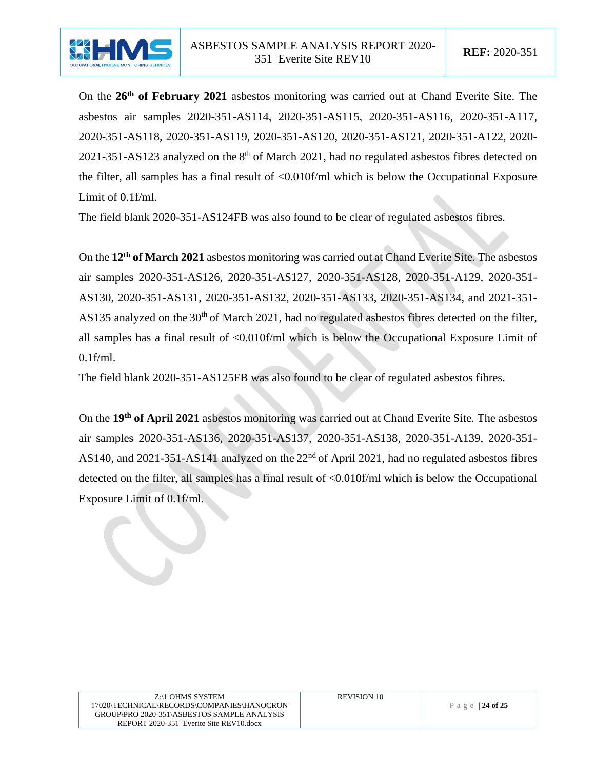

On the **26th of February 2021** asbestos monitoring was carried out at Chand Everite Site. The asbestos air samples 2020-351-AS114, 2020-351-AS115, 2020-351-AS116, 2020-351-A117, 2020-351-AS118, 2020-351-AS119, 2020-351-AS120, 2020-351-AS121, 2020-351-A122, 2020- 2021-351-AS123 analyzed on the  $8<sup>th</sup>$  of March 2021, had no regulated asbestos fibres detected on the filter, all samples has a final result of <0.010f/ml which is below the Occupational Exposure Limit of 0.1f/ml.

The field blank 2020-351-AS124FB was also found to be clear of regulated asbestos fibres.

On the **12th of March 2021** asbestos monitoring was carried out at Chand Everite Site. The asbestos air samples 2020-351-AS126, 2020-351-AS127, 2020-351-AS128, 2020-351-A129, 2020-351- AS130, 2020-351-AS131, 2020-351-AS132, 2020-351-AS133, 2020-351-AS134, and 2021-351- AS135 analyzed on the 30<sup>th</sup> of March 2021, had no regulated asbestos fibres detected on the filter, all samples has a final result of <0.010f/ml which is below the Occupational Exposure Limit of 0.1f/ml.

The field blank 2020-351-AS125FB was also found to be clear of regulated asbestos fibres.

On the **19th of April 2021** asbestos monitoring was carried out at Chand Everite Site. The asbestos air samples 2020-351-AS136, 2020-351-AS137, 2020-351-AS138, 2020-351-A139, 2020-351- AS140, and 2021-351-AS141 analyzed on the  $22<sup>nd</sup>$  of April 2021, had no regulated asbestos fibres detected on the filter, all samples has a final result of <0.010f/ml which is below the Occupational Exposure Limit of 0.1f/ml.